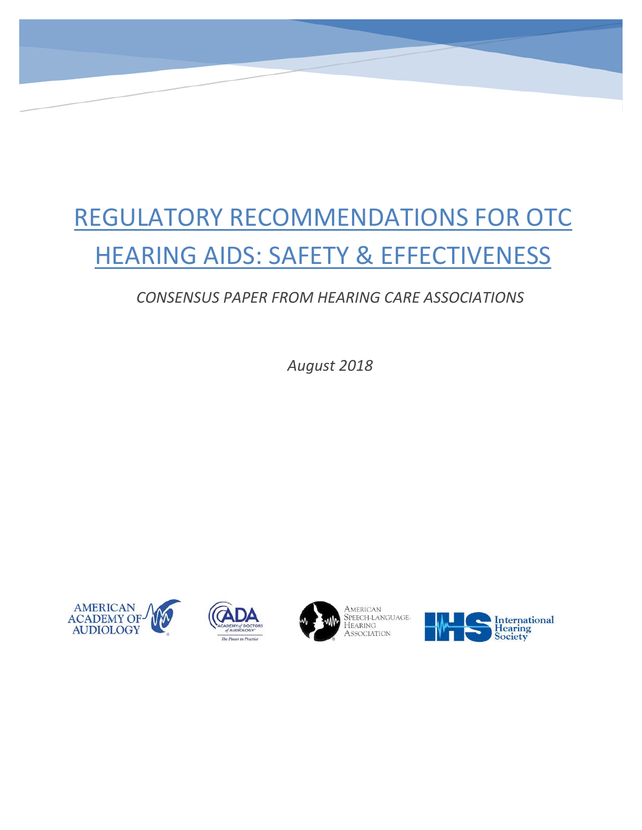# REGULATORY RECOMMENDATIONS FOR OTC HEARING AIDS: SAFETY & EFFECTIVENESS

## *CONSENSUS PAPER FROM HEARING CARE ASSOCIATIONS*

*August 2018*







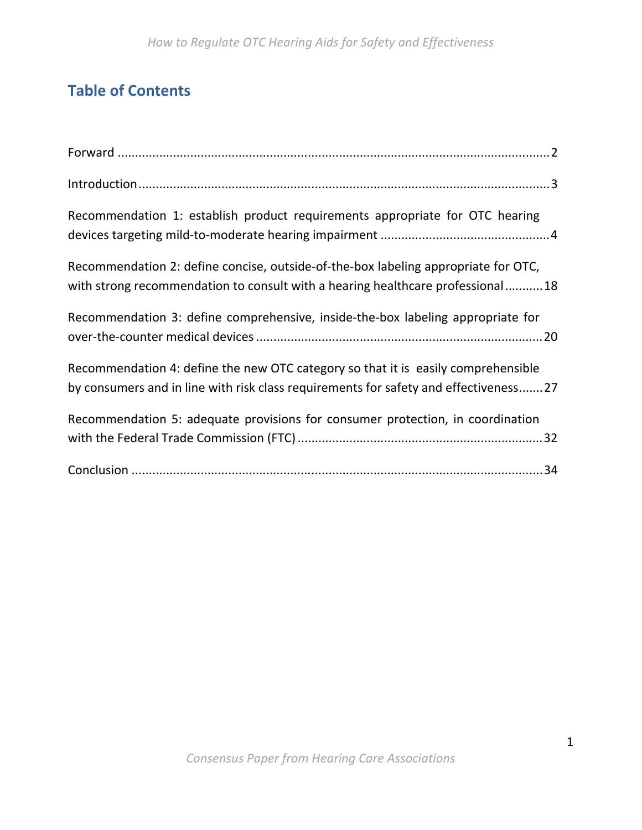# **Table of Contents**

| Recommendation 1: establish product requirements appropriate for OTC hearing                                                                                              |
|---------------------------------------------------------------------------------------------------------------------------------------------------------------------------|
| Recommendation 2: define concise, outside-of-the-box labeling appropriate for OTC,<br>with strong recommendation to consult with a hearing healthcare professional18      |
| Recommendation 3: define comprehensive, inside-the-box labeling appropriate for                                                                                           |
| Recommendation 4: define the new OTC category so that it is easily comprehensible<br>by consumers and in line with risk class requirements for safety and effectiveness27 |
| Recommendation 5: adequate provisions for consumer protection, in coordination                                                                                            |
|                                                                                                                                                                           |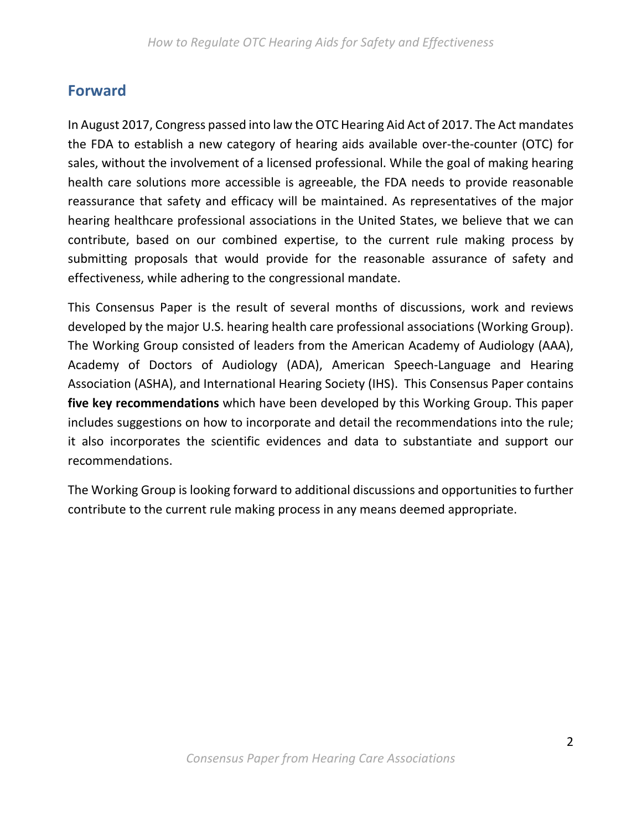## **Forward**

In August 2017, Congress passed into law the OTC Hearing Aid Act of 2017. The Act mandates the FDA to establish a new category of hearing aids available over‐the‐counter (OTC) for sales, without the involvement of a licensed professional. While the goal of making hearing health care solutions more accessible is agreeable, the FDA needs to provide reasonable reassurance that safety and efficacy will be maintained. As representatives of the major hearing healthcare professional associations in the United States, we believe that we can contribute, based on our combined expertise, to the current rule making process by submitting proposals that would provide for the reasonable assurance of safety and effectiveness, while adhering to the congressional mandate.

This Consensus Paper is the result of several months of discussions, work and reviews developed by the major U.S. hearing health care professional associations (Working Group). The Working Group consisted of leaders from the American Academy of Audiology (AAA), Academy of Doctors of Audiology (ADA), American Speech‐Language and Hearing Association (ASHA), and International Hearing Society (IHS). This Consensus Paper contains **five key recommendations** which have been developed by this Working Group. This paper includes suggestions on how to incorporate and detail the recommendations into the rule; it also incorporates the scientific evidences and data to substantiate and support our recommendations.

The Working Group is looking forward to additional discussions and opportunities to further contribute to the current rule making process in any means deemed appropriate.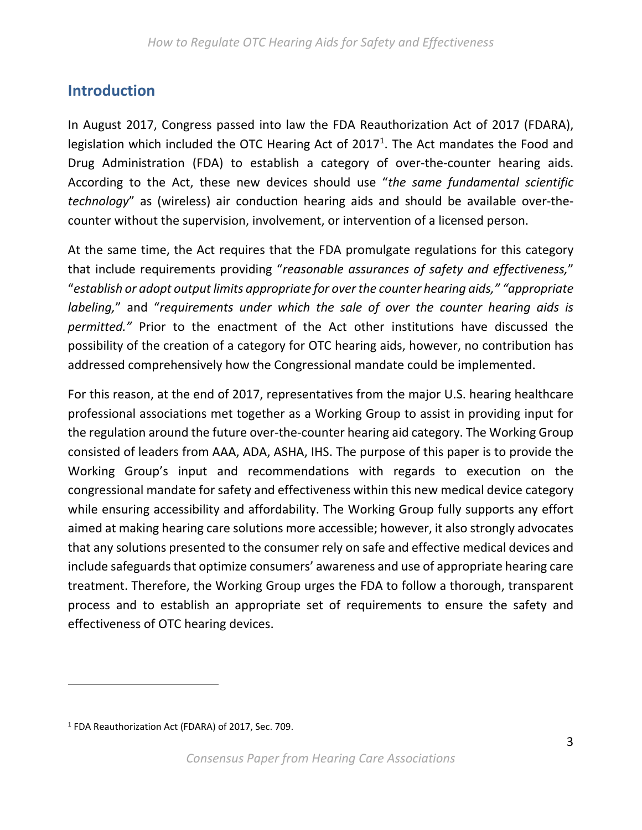## **Introduction**

In August 2017, Congress passed into law the FDA Reauthorization Act of 2017 (FDARA), legislation which included the OTC Hearing Act of  $2017<sup>1</sup>$ . The Act mandates the Food and Drug Administration (FDA) to establish a category of over-the-counter hearing aids. According to the Act, these new devices should use "*the same fundamental scientific technology*" as (wireless) air conduction hearing aids and should be available over‐the‐ counter without the supervision, involvement, or intervention of a licensed person.

At the same time, the Act requires that the FDA promulgate regulations for this category that include requirements providing "*reasonable assurances of safety and effectiveness,*" "*establish or adopt output limits appropriate for over the counter hearing aids," "appropriate labeling,*" and "*requirements under which the sale of over the counter hearing aids is permitted."* Prior to the enactment of the Act other institutions have discussed the possibility of the creation of a category for OTC hearing aids, however, no contribution has addressed comprehensively how the Congressional mandate could be implemented.

For this reason, at the end of 2017, representatives from the major U.S. hearing healthcare professional associations met together as a Working Group to assist in providing input for the regulation around the future over‐the‐counter hearing aid category. The Working Group consisted of leaders from AAA, ADA, ASHA, IHS. The purpose of this paper is to provide the Working Group's input and recommendations with regards to execution on the congressional mandate for safety and effectiveness within this new medical device category while ensuring accessibility and affordability. The Working Group fully supports any effort aimed at making hearing care solutions more accessible; however, it also strongly advocates that any solutions presented to the consumer rely on safe and effective medical devices and include safeguards that optimize consumers' awareness and use of appropriate hearing care treatment. Therefore, the Working Group urges the FDA to follow a thorough, transparent process and to establish an appropriate set of requirements to ensure the safety and effectiveness of OTC hearing devices.

<sup>1</sup> FDA Reauthorization Act (FDARA) of 2017, Sec. 709.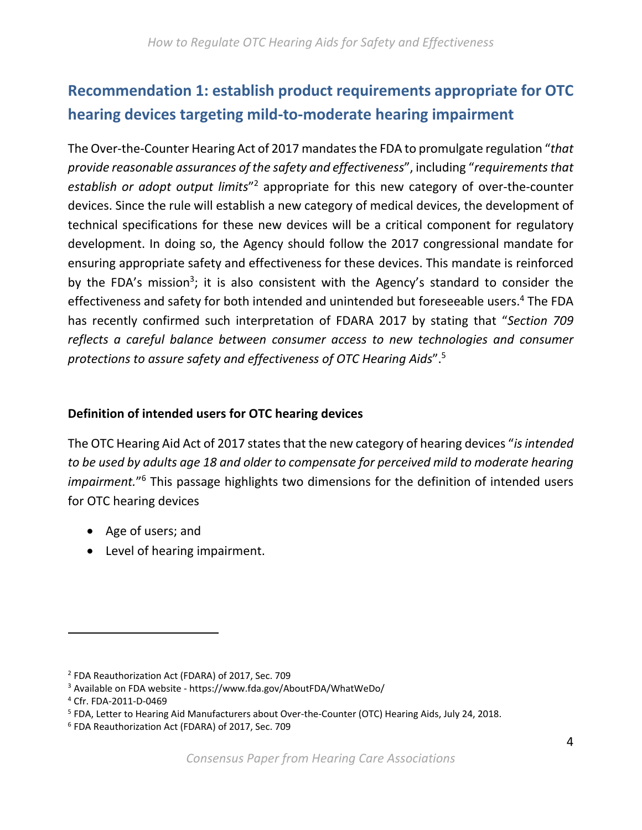# **Recommendation 1: establish product requirements appropriate for OTC hearing devices targeting mild‐to‐moderate hearing impairment**

The Over‐the‐Counter Hearing Act of 2017 mandates the FDA to promulgate regulation "*that provide reasonable assurances of the safety and effectiveness*", including "*requirements that*  establish or adopt output limits"<sup>2</sup> appropriate for this new category of over-the-counter devices. Since the rule will establish a new category of medical devices, the development of technical specifications for these new devices will be a critical component for regulatory development. In doing so, the Agency should follow the 2017 congressional mandate for ensuring appropriate safety and effectiveness for these devices. This mandate is reinforced by the FDA's mission<sup>3</sup>; it is also consistent with the Agency's standard to consider the effectiveness and safety for both intended and unintended but foreseeable users.<sup>4</sup> The FDA has recently confirmed such interpretation of FDARA 2017 by stating that "*Section 709 reflects a careful balance between consumer access to new technologies and consumer protections to assure safety and effectiveness of OTC Hearing Aids*".5

#### **Definition of intended users for OTC hearing devices**

The OTC Hearing Aid Act of 2017 states that the new category of hearing devices "*is intended to be used by adults age 18 and older to compensate for perceived mild to moderate hearing*  impairment."<sup>6</sup> This passage highlights two dimensions for the definition of intended users for OTC hearing devices

Age of users; and

Level of hearing impairment.

<sup>2</sup> FDA Reauthorization Act (FDARA) of 2017, Sec. 709

<sup>3</sup> Available on FDA website ‐ https://www.fda.gov/AboutFDA/WhatWeDo/

<sup>4</sup> Cfr. FDA‐2011‐D‐0469

<sup>&</sup>lt;sup>5</sup> FDA, Letter to Hearing Aid Manufacturers about Over-the-Counter (OTC) Hearing Aids, July 24, 2018.

<sup>6</sup> FDA Reauthorization Act (FDARA) of 2017, Sec. 709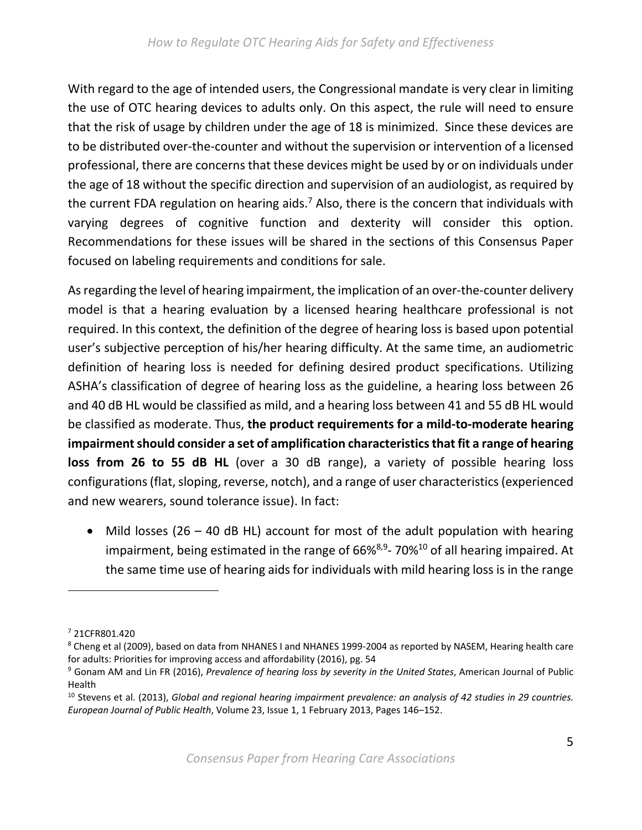With regard to the age of intended users, the Congressional mandate is very clear in limiting the use of OTC hearing devices to adults only. On this aspect, the rule will need to ensure that the risk of usage by children under the age of 18 is minimized. Since these devices are to be distributed over‐the‐counter and without the supervision or intervention of a licensed professional, there are concerns that these devices might be used by or on individuals under the age of 18 without the specific direction and supervision of an audiologist, as required by the current FDA regulation on hearing aids.<sup>7</sup> Also, there is the concern that individuals with varying degrees of cognitive function and dexterity will consider this option. Recommendations for these issues will be shared in the sections of this Consensus Paper focused on labeling requirements and conditions for sale.

As regarding the level of hearing impairment, the implication of an over‐the‐counter delivery model is that a hearing evaluation by a licensed hearing healthcare professional is not required. In this context, the definition of the degree of hearing loss is based upon potential user's subjective perception of his/her hearing difficulty. At the same time, an audiometric definition of hearing loss is needed for defining desired product specifications. Utilizing ASHA's classification of degree of hearing loss as the guideline, a hearing loss between 26 and 40 dB HL would be classified as mild, and a hearing loss between 41 and 55 dB HL would be classified as moderate. Thus, **the product requirements for a mild‐to‐moderate hearing impairment should consider a set of amplification characteristics that fit a range of hearing loss from 26 to 55 dB HL** (over a 30 dB range), a variety of possible hearing loss configurations (flat, sloping, reverse, notch), and a range of user characteristics (experienced and new wearers, sound tolerance issue). In fact:

• Mild losses  $(26 - 40$  dB HL) account for most of the adult population with hearing impairment, being estimated in the range of  $66\%^{8,9}$ - 70%<sup>10</sup> of all hearing impaired. At the same time use of hearing aids for individuals with mild hearing loss is in the range

<sup>7</sup> 21CFR801.420

<sup>8</sup> Cheng et al (2009), based on data from NHANES I and NHANES 1999‐2004 as reported by NASEM, Hearing health care for adults: Priorities for improving access and affordability (2016), pg. 54

<sup>9</sup> Gonam AM and Lin FR (2016), *Prevalence of hearing loss by severity in the United States*, American Journal of Public Health

<sup>&</sup>lt;sup>10</sup> Stevens et al. (2013), *Global and regional hearing impairment prevalence: an analysis of 42 studies in 29 countries. European Journal of Public Health*, Volume 23, Issue 1, 1 February 2013, Pages 146–152.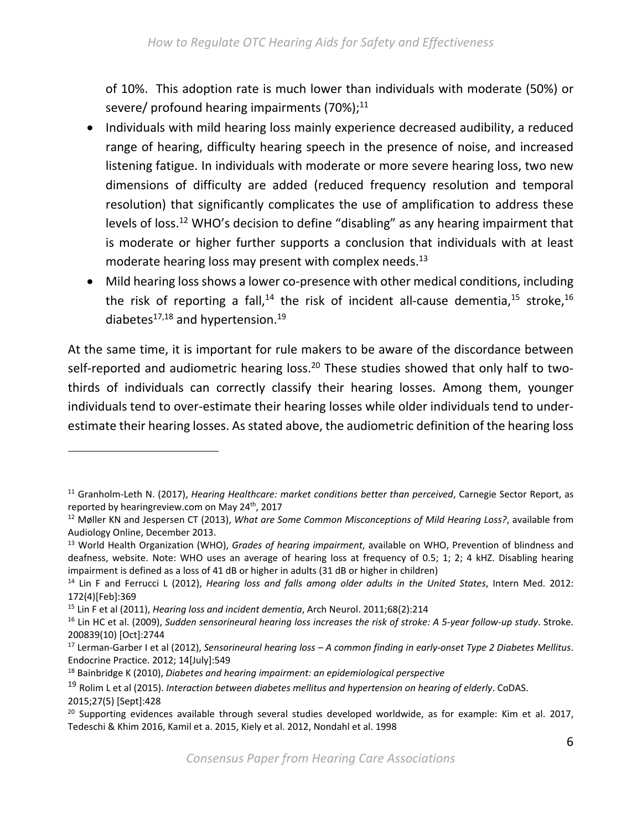of 10%. This adoption rate is much lower than individuals with moderate (50%) or severe/ profound hearing impairments  $(70\%)$ ;<sup>11</sup>

- Individuals with mild hearing loss mainly experience decreased audibility, a reduced range of hearing, difficulty hearing speech in the presence of noise, and increased listening fatigue. In individuals with moderate or more severe hearing loss, two new dimensions of difficulty are added (reduced frequency resolution and temporal resolution) that significantly complicates the use of amplification to address these levels of loss.12 WHO's decision to define "disabling" as any hearing impairment that is moderate or higher further supports a conclusion that individuals with at least moderate hearing loss may present with complex needs. $^{13}$
- Mild hearing loss shows a lower co-presence with other medical conditions, including the risk of reporting a fall,<sup>14</sup> the risk of incident all-cause dementia,<sup>15</sup> stroke,<sup>16</sup> diabetes $^{17,18}$  and hypertension.<sup>19</sup>

At the same time, it is important for rule makers to be aware of the discordance between self-reported and audiometric hearing loss.<sup>20</sup> These studies showed that only half to twothirds of individuals can correctly classify their hearing losses. Among them, younger individuals tend to over‐estimate their hearing losses while older individuals tend to under‐ estimate their hearing losses. As stated above, the audiometric definition of the hearing loss

<sup>11</sup> Granholm‐Leth N. (2017), *Hearing Healthcare: market conditions better than perceived*, Carnegie Sector Report, as reported by hearingreview.com on May 24<sup>th</sup>, 2017

<sup>12</sup> Møller KN and Jespersen CT (2013), *What are Some Common Misconceptions of Mild Hearing Loss?*, available from Audiology Online, December 2013.

<sup>13</sup> World Health Organization (WHO), *Grades of hearing impairment*, available on WHO, Prevention of blindness and deafness, website. Note: WHO uses an average of hearing loss at frequency of 0.5; 1; 2; 4 kHZ. Disabling hearing impairment is defined as a loss of 41 dB or higher in adults (31 dB or higher in children)

<sup>&</sup>lt;sup>14</sup> Lin F and Ferrucci L (2012), *Hearing loss and falls among older adults in the United States*, Intern Med. 2012: 172(4)[Feb]:369

<sup>15</sup> Lin F et al (2011), *Hearing loss and incident dementia*, Arch Neurol. 2011;68(2):214

<sup>16</sup> Lin HC et al. (2009), *Sudden sensorineural hearing loss increases the risk of stroke: A 5‐year follow‐up study*. Stroke. 200839(10) [Oct]:2744

<sup>17</sup> Lerman‐Garber I et al (2012), *Sensorineural hearing loss – A common finding in early‐onset Type 2 Diabetes Mellitus*. Endocrine Practice. 2012; 14[July]:549

<sup>18</sup> Bainbridge K (2010), *Diabetes and hearing impairment: an epidemiological perspective*

<sup>19</sup> Rolim L et al (2015). *Interaction between diabetes mellitus and hypertension on hearing of elderly*. CoDAS. 2015;27(5) [Sept]:428

<sup>&</sup>lt;sup>20</sup> Supporting evidences available through several studies developed worldwide, as for example: Kim et al. 2017, Tedeschi & Khim 2016, Kamil et a. 2015, Kiely et al. 2012, Nondahl et al. 1998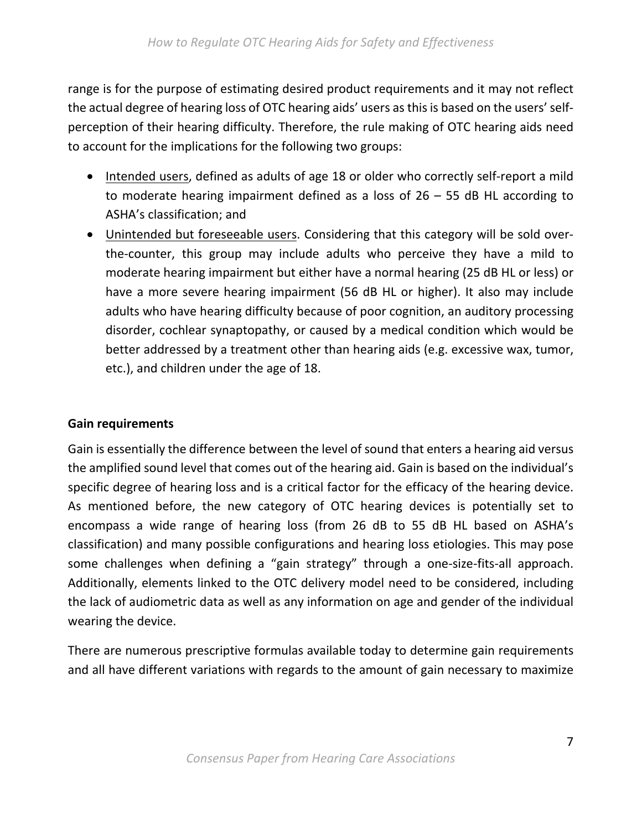range is for the purpose of estimating desired product requirements and it may not reflect the actual degree of hearing loss of OTC hearing aids' users as this is based on the users' self‐ perception of their hearing difficulty. Therefore, the rule making of OTC hearing aids need to account for the implications for the following two groups:

- Intended users, defined as adults of age 18 or older who correctly self-report a mild to moderate hearing impairment defined as a loss of  $26 - 55$  dB HL according to ASHA's classification; and
- Unintended but foreseeable users. Considering that this category will be sold overthe-counter, this group may include adults who perceive they have a mild to moderate hearing impairment but either have a normal hearing (25 dB HL or less) or have a more severe hearing impairment (56 dB HL or higher). It also may include adults who have hearing difficulty because of poor cognition, an auditory processing disorder, cochlear synaptopathy, or caused by a medical condition which would be better addressed by a treatment other than hearing aids (e.g. excessive wax, tumor, etc.), and children under the age of 18.

#### **Gain requirements**

Gain is essentially the difference between the level of sound that enters a hearing aid versus the amplified sound level that comes out of the hearing aid. Gain is based on the individual's specific degree of hearing loss and is a critical factor for the efficacy of the hearing device. As mentioned before, the new category of OTC hearing devices is potentially set to encompass a wide range of hearing loss (from 26 dB to 55 dB HL based on ASHA's classification) and many possible configurations and hearing loss etiologies. This may pose some challenges when defining a "gain strategy" through a one-size-fits-all approach. Additionally, elements linked to the OTC delivery model need to be considered, including the lack of audiometric data as well as any information on age and gender of the individual wearing the device.

There are numerous prescriptive formulas available today to determine gain requirements and all have different variations with regards to the amount of gain necessary to maximize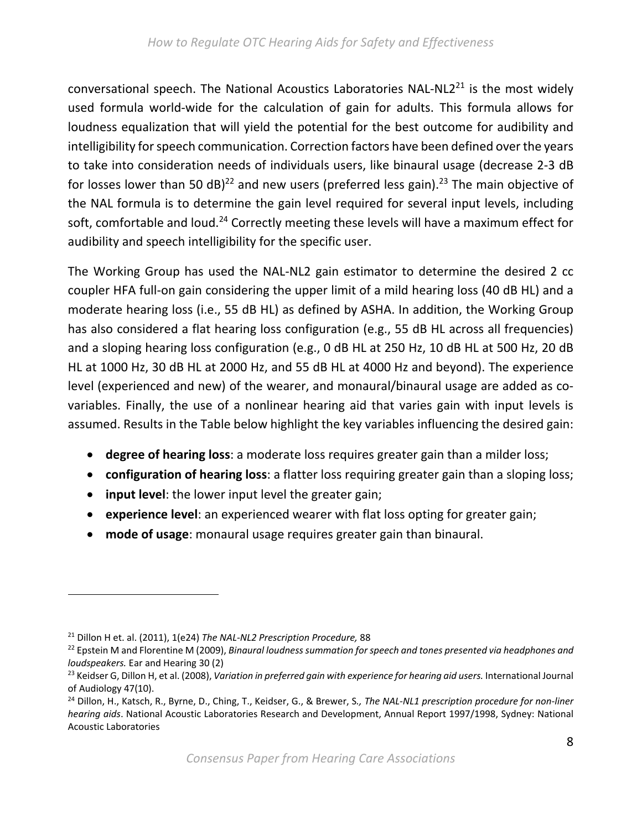conversational speech. The National Acoustics Laboratories NAL-NL2 $^{21}$  is the most widely used formula world‐wide for the calculation of gain for adults. This formula allows for loudness equalization that will yield the potential for the best outcome for audibility and intelligibility for speech communication. Correction factors have been defined over the years to take into consideration needs of individuals users, like binaural usage (decrease 2‐3 dB for losses lower than 50 dB $)^{22}$  and new users (preferred less gain).<sup>23</sup> The main objective of the NAL formula is to determine the gain level required for several input levels, including soft, comfortable and loud.<sup>24</sup> Correctly meeting these levels will have a maximum effect for audibility and speech intelligibility for the specific user.

The Working Group has used the NAL-NL2 gain estimator to determine the desired 2 cc coupler HFA full‐on gain considering the upper limit of a mild hearing loss (40 dB HL) and a moderate hearing loss (i.e., 55 dB HL) as defined by ASHA. In addition, the Working Group has also considered a flat hearing loss configuration (e.g., 55 dB HL across all frequencies) and a sloping hearing loss configuration (e.g., 0 dB HL at 250 Hz, 10 dB HL at 500 Hz, 20 dB HL at 1000 Hz, 30 dB HL at 2000 Hz, and 55 dB HL at 4000 Hz and beyond). The experience level (experienced and new) of the wearer, and monaural/binaural usage are added as co‐ variables. Finally, the use of a nonlinear hearing aid that varies gain with input levels is assumed. Results in the Table below highlight the key variables influencing the desired gain:

- **degree of hearing loss**: a moderate loss requires greater gain than a milder loss;
- **configuration of hearing loss**: a flatter loss requiring greater gain than a sloping loss;
- **input level**: the lower input level the greater gain;
- **experience level**: an experienced wearer with flat loss opting for greater gain;
- **mode of usage**: monaural usage requires greater gain than binaural.

<sup>21</sup> Dillon H et. al. (2011), 1(e24) *The NAL‐NL2 Prescription Procedure,* 88

<sup>22</sup> Epstein M and Florentine M (2009), *Binaural loudness summation for speech and tones presented via headphones and loudspeakers.* Ear and Hearing 30 (2)

<sup>&</sup>lt;sup>23</sup> Keidser G, Dillon H, et al. (2008), *Variation in preferred gain with experience for hearing aid users.* International Journal of Audiology 47(10).

<sup>24</sup> Dillon, H., Katsch, R., Byrne, D., Ching, T., Keidser, G., & Brewer, S*., The NAL‐NL1 prescription procedure for non‐liner hearing aids*. National Acoustic Laboratories Research and Development, Annual Report 1997/1998, Sydney: National Acoustic Laboratories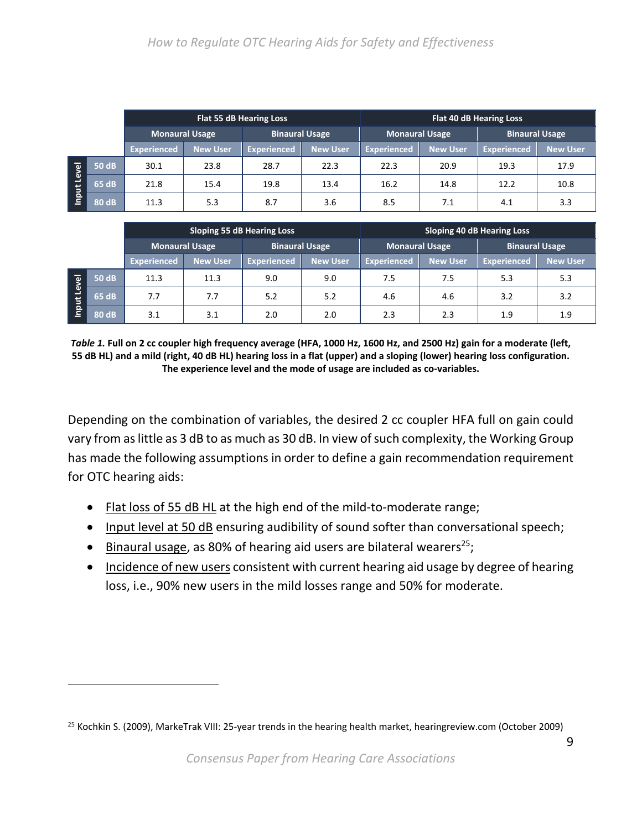|                                                  |              | <b>Flat 55 dB Hearing Loss</b>                 |                 |                       | Flat 40 dB Hearing Loss |             |                       |                    |                 |
|--------------------------------------------------|--------------|------------------------------------------------|-----------------|-----------------------|-------------------------|-------------|-----------------------|--------------------|-----------------|
|                                                  |              | <b>Binaural Usage</b><br><b>Monaural Usage</b> |                 | <b>Monaural Usage</b> |                         |             | <b>Binaural Usage</b> |                    |                 |
|                                                  |              | <b>Experienced</b>                             | <b>New User</b> | <b>Experienced</b>    | <b>New User</b>         | Experienced | <b>New User</b>       | <b>Experienced</b> | <b>New User</b> |
| g<br>$\mathbf{E}$<br>$\sharp$<br>o<br>$\epsilon$ | <b>50 dB</b> | 30.1                                           | 23.8            | 28.7                  | 22.3                    | 22.3        | 20.9                  | 19.3               | 17.9            |
|                                                  | 65 dB        | 21.8                                           | 15.4            | 19.8                  | 13.4                    | 16.2        | 14.8                  | 12.2               | 10.8            |
|                                                  | 80 dB        | 11.3                                           | 5.3             | 8.7                   | 3.6                     | 8.5         | 7.1                   | 4.1                | 3.3             |

|                                                                   |              | Sloping 55 dB Hearing Loss                     |                 |                       | <b>Sloping 40 dB Hearing Loss</b> |                       |          |                    |                 |
|-------------------------------------------------------------------|--------------|------------------------------------------------|-----------------|-----------------------|-----------------------------------|-----------------------|----------|--------------------|-----------------|
|                                                                   |              | <b>Monaural Usage</b><br><b>Binaural Usage</b> |                 | <b>Monaural Usage</b> |                                   | <b>Binaural Usage</b> |          |                    |                 |
|                                                                   |              | <b>Experienced</b>                             | <b>New User</b> | Experienced           | <b>New User</b>                   | Experienced           | New User | <b>Experienced</b> | <b>New User</b> |
| evel<br>E<br>$\overline{5}$<br>$\bar{\mathbf{o}}$<br>$\mathbf{C}$ | <b>50 dB</b> | 11.3                                           | 11.3            | 9.0                   | 9.0                               | 7.5                   | 7.5      | 5.3                | 5.3             |
|                                                                   | 65 dB        | 7.7                                            | 7.7             | 5.2                   | 5.2                               | 4.6                   | 4.6      | 3.2                | 3.2             |
|                                                                   | 80 dB        | 3.1                                            | 3.1             | 2.0                   | 2.0                               | 2.3                   | 2.3      | 1.9                | 1.9             |

*Table 1.* **Full on 2 cc coupler high frequency average (HFA, 1000 Hz, 1600 Hz, and 2500 Hz) gain for a moderate (left, 55 dB HL) and a mild (right, 40 dB HL) hearing loss in a flat (upper) and a sloping (lower) hearing loss configuration. The experience level and the mode of usage are included as co‐variables.** 

Depending on the combination of variables, the desired 2 cc coupler HFA full on gain could vary from as little as 3 dB to as much as 30 dB. In view of such complexity, the Working Group has made the following assumptions in order to define a gain recommendation requirement for OTC hearing aids:

- Flat loss of 55 dB HL at the high end of the mild-to-moderate range;
- Input level at 50 dB ensuring audibility of sound softer than conversational speech;
- Einaural usage, as 80% of hearing aid users are bilateral wearers<sup>25</sup>;

• Incidence of new users consistent with current hearing aid usage by degree of hearing loss, i.e., 90% new users in the mild losses range and 50% for moderate.

<sup>&</sup>lt;sup>25</sup> Kochkin S. (2009), MarkeTrak VIII: 25-year trends in the hearing health market, hearingreview.com (October 2009)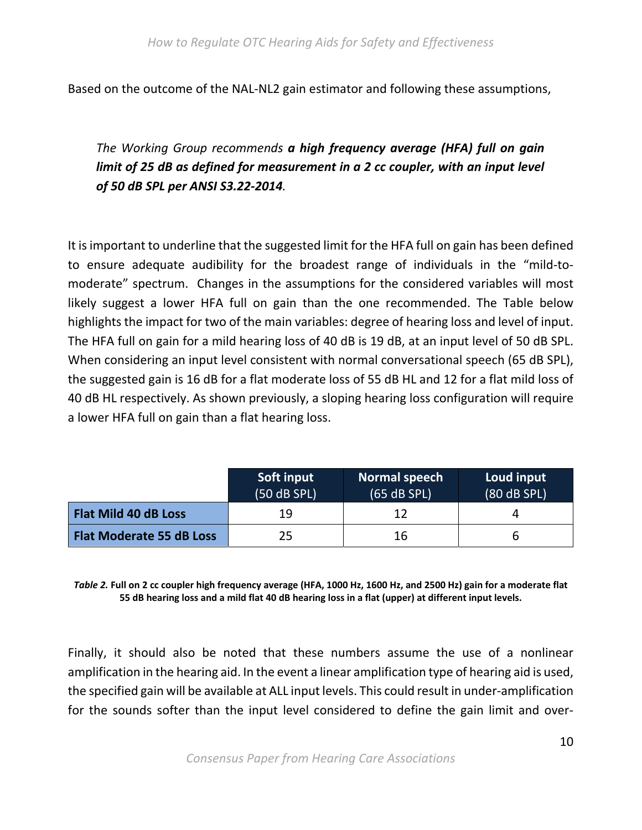Based on the outcome of the NAL‐NL2 gain estimator and following these assumptions,

*The Working Group recommends a high frequency average (HFA) full on gain limit of 25 dB as defined for measurement in a 2 cc coupler, with an input level of 50 dB SPL per ANSI S3.22‐2014.* 

It is important to underline that the suggested limit for the HFA full on gain has been defined to ensure adequate audibility for the broadest range of individuals in the "mild‐to‐ moderate" spectrum. Changes in the assumptions for the considered variables will most likely suggest a lower HFA full on gain than the one recommended. The Table below highlights the impact for two of the main variables: degree of hearing loss and level of input. The HFA full on gain for a mild hearing loss of 40 dB is 19 dB, at an input level of 50 dB SPL. When considering an input level consistent with normal conversational speech (65 dB SPL), the suggested gain is 16 dB for a flat moderate loss of 55 dB HL and 12 for a flat mild loss of 40 dB HL respectively. As shown previously, a sloping hearing loss configuration will require a lower HFA full on gain than a flat hearing loss.

|                                 | Soft input<br>(50 dB SPL) | <b>Normal speech</b><br>$(65 dB$ SPL) | Loud input<br>(80 dB SPL) |
|---------------------------------|---------------------------|---------------------------------------|---------------------------|
| Flat Mild 40 dB Loss            | 19                        | 12                                    |                           |
| <b>Flat Moderate 55 dB Loss</b> | 25                        | 16                                    | b                         |

*Table 2.* **Full on 2 cc coupler high frequency average (HFA, 1000 Hz, 1600 Hz, and 2500 Hz) gain for a moderate flat 55 dB hearing loss and a mild flat 40 dB hearing loss in a flat (upper) at different input levels.** 

Finally, it should also be noted that these numbers assume the use of a nonlinear amplification in the hearing aid. In the event a linear amplification type of hearing aid is used, the specified gain will be available at ALL input levels. This could result in under‐amplification for the sounds softer than the input level considered to define the gain limit and over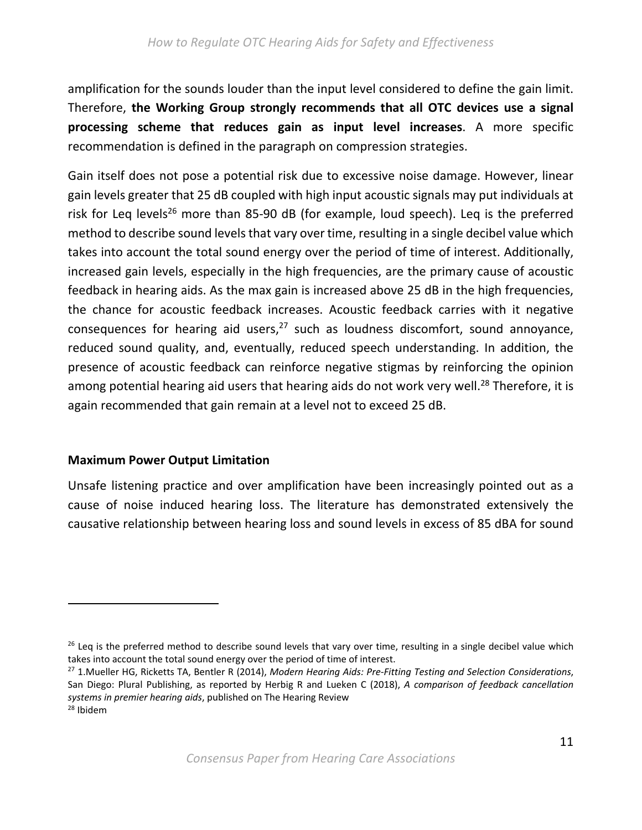amplification for the sounds louder than the input level considered to define the gain limit. Therefore, **the Working Group strongly recommends that all OTC devices use a signal processing scheme that reduces gain as input level increases**. A more specific recommendation is defined in the paragraph on compression strategies.

Gain itself does not pose a potential risk due to excessive noise damage. However, linear gain levels greater that 25 dB coupled with high input acoustic signals may put individuals at risk for Leg levels<sup>26</sup> more than 85-90 dB (for example, loud speech). Leg is the preferred method to describe sound levels that vary over time, resulting in a single decibel value which takes into account the total sound energy over the period of time of interest. Additionally, increased gain levels, especially in the high frequencies, are the primary cause of acoustic feedback in hearing aids. As the max gain is increased above 25 dB in the high frequencies, the chance for acoustic feedback increases. Acoustic feedback carries with it negative consequences for hearing aid users,  $27$  such as loudness discomfort, sound annoyance, reduced sound quality, and, eventually, reduced speech understanding. In addition, the presence of acoustic feedback can reinforce negative stigmas by reinforcing the opinion among potential hearing aid users that hearing aids do not work very well.<sup>28</sup> Therefore, it is again recommended that gain remain at a level not to exceed 25 dB.

#### **Maximum Power Output Limitation**

Unsafe listening practice and over amplification have been increasingly pointed out as a cause of noise induced hearing loss. The literature has demonstrated extensively the causative relationship between hearing loss and sound levels in excess of 85 dBA for sound

 $26$  Leq is the preferred method to describe sound levels that vary over time, resulting in a single decibel value which takes into account the total sound energy over the period of time of interest.

<sup>27 1.</sup>Mueller HG, Ricketts TA, Bentler R (2014), *Modern Hearing Aids: Pre‐Fitting Testing and Selection Considerations*, San Diego: Plural Publishing, as reported by Herbig R and Lueken C (2018), *A comparison of feedback cancellation systems in premier hearing aids*, published on The Hearing Review 28 Ibidem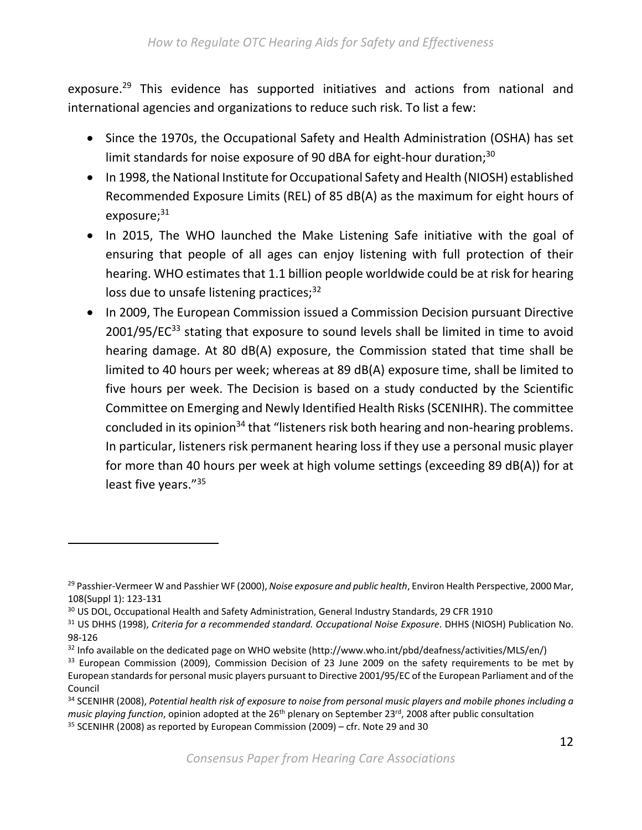exposure.<sup>29</sup> This evidence has supported initiatives and actions from national and international agencies and organizations to reduce such risk. To list a few:

- Since the 1970s, the Occupational Safety and Health Administration (OSHA) has set limit standards for noise exposure of 90 dBA for eight-hour duration;<sup>30</sup>
- In 1998, the National Institute for Occupational Safety and Health (NIOSH) established Recommended Exposure Limits (REL) of 85 dB(A) as the maximum for eight hours of exposure; $31$
- In 2015, The WHO launched the Make Listening Safe initiative with the goal of ensuring that people of all ages can enjoy listening with full protection of their hearing. WHO estimates that 1.1 billion people worldwide could be at risk for hearing loss due to unsafe listening practices;<sup>32</sup>
- In 2009, The European Commission issued a Commission Decision pursuant Directive  $2001/95/EC^{33}$  stating that exposure to sound levels shall be limited in time to avoid hearing damage. At 80 dB(A) exposure, the Commission stated that time shall be limited to 40 hours per week; whereas at 89 dB(A) exposure time, shall be limited to five hours per week. The Decision is based on a study conducted by the Scientific Committee on Emerging and Newly Identified Health Risks (SCENIHR). The committee concluded in its opinion<sup>34</sup> that "listeners risk both hearing and non-hearing problems. In particular, listeners risk permanent hearing loss if they use a personal music player for more than 40 hours per week at high volume settings (exceeding 89 dB(A)) for at least five years."35

<sup>29</sup> Passhier‐Vermeer W and Passhier WF (2000), *Noise exposure and public health*, Environ Health Perspective, 2000 Mar, 108(Suppl 1): 123‐131

<sup>&</sup>lt;sup>30</sup> US DOL, Occupational Health and Safety Administration, General Industry Standards, 29 CFR 1910

<sup>31</sup> US DHHS (1998), *Criteria for a recommended standard. Occupational Noise Exposure*. DHHS (NIOSH) Publication No. 98‐126

<sup>32</sup> Info available on the dedicated page on WHO website (http://www.who.int/pbd/deafness/activities/MLS/en/)

<sup>&</sup>lt;sup>33</sup> European Commission (2009), Commission Decision of 23 June 2009 on the safety requirements to be met by European standards for personal music players pursuant to Directive 2001/95/EC of the European Parliament and of the Council

<sup>34</sup> SCENIHR (2008), *Potential health risk of exposure to noise from personal music players and mobile phones including a music playing function*, opinion adopted at the 26<sup>th</sup> plenary on September 23<sup>rd</sup>, 2008 after public consultation <sup>35</sup> SCENIHR (2008) as reported by European Commission (2009) – cfr. Note 29 and 30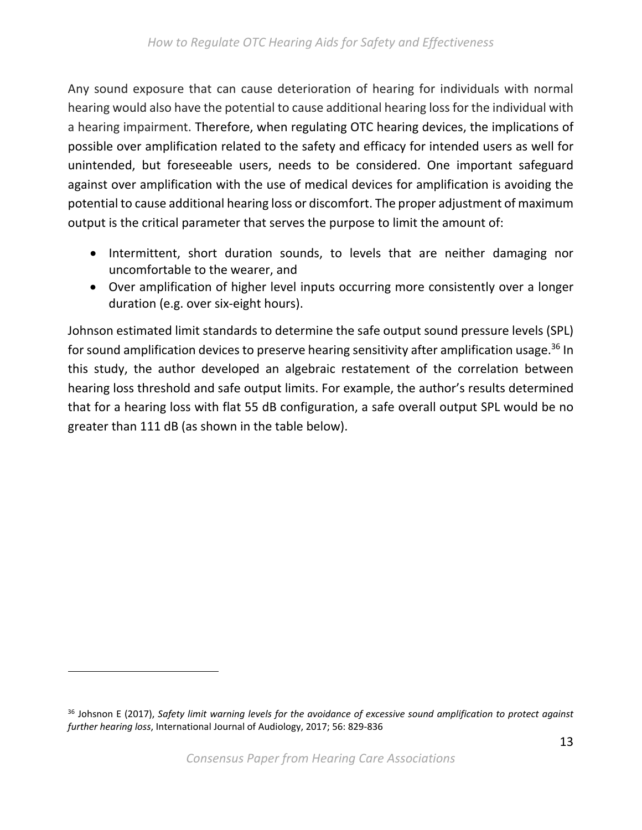Any sound exposure that can cause deterioration of hearing for individuals with normal hearing would also have the potential to cause additional hearing loss for the individual with a hearing impairment. Therefore, when regulating OTC hearing devices, the implications of possible over amplification related to the safety and efficacy for intended users as well for unintended, but foreseeable users, needs to be considered. One important safeguard against over amplification with the use of medical devices for amplification is avoiding the potential to cause additional hearing loss or discomfort. The proper adjustment of maximum output is the critical parameter that serves the purpose to limit the amount of:

- Intermittent, short duration sounds, to levels that are neither damaging nor uncomfortable to the wearer, and
- Over amplification of higher level inputs occurring more consistently over a longer duration (e.g. over six‐eight hours).

Johnson estimated limit standards to determine the safe output sound pressure levels (SPL) for sound amplification devices to preserve hearing sensitivity after amplification usage.<sup>36</sup> In this study, the author developed an algebraic restatement of the correlation between hearing loss threshold and safe output limits. For example, the author's results determined that for a hearing loss with flat 55 dB configuration, a safe overall output SPL would be no greater than 111 dB (as shown in the table below).

<sup>36</sup> Johsnon E (2017), *Safety limit warning levels for the avoidance of excessive sound amplification to protect against further hearing loss*, International Journal of Audiology, 2017; 56: 829‐836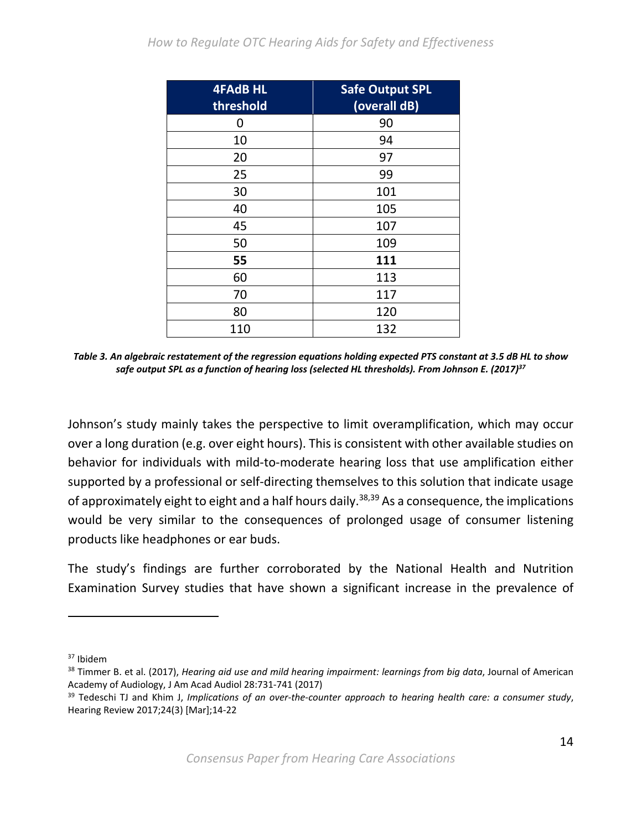| <b>4FAdB HL</b><br>threshold | <b>Safe Output SPL</b><br>(overall dB) |  |  |
|------------------------------|----------------------------------------|--|--|
| 0                            | 90                                     |  |  |
| 10                           | 94                                     |  |  |
| 20                           | 97                                     |  |  |
| 25                           | 99                                     |  |  |
| 30                           | 101                                    |  |  |
| 40                           | 105                                    |  |  |
| 45                           | 107                                    |  |  |
| 50                           | 109                                    |  |  |
| 55                           | 111                                    |  |  |
| 60                           | 113                                    |  |  |
| 70                           | 117                                    |  |  |
| 80                           | 120                                    |  |  |
| 110                          | 132                                    |  |  |

*Table 3. An algebraic restatement of the regression equations holding expected PTS constant at 3.5 dB HL to show safe output SPL as a function of hearing loss (selected HL thresholds). From Johnson E. (2017)37*

Johnson's study mainly takes the perspective to limit overamplification, which may occur over a long duration (e.g. over eight hours). This is consistent with other available studies on behavior for individuals with mild-to-moderate hearing loss that use amplification either supported by a professional or self-directing themselves to this solution that indicate usage of approximately eight to eight and a half hours daily.<sup>38,39</sup> As a consequence, the implications would be very similar to the consequences of prolonged usage of consumer listening products like headphones or ear buds.

The study's findings are further corroborated by the National Health and Nutrition Examination Survey studies that have shown a significant increase in the prevalence of

<sup>37</sup> Ibidem

<sup>38</sup> Timmer B. et al. (2017), *Hearing aid use and mild hearing impairment: learnings from big data*, Journal of American Academy of Audiology, J Am Acad Audiol 28:731‐741 (2017)

<sup>39</sup> Tedeschi TJ and Khim J, *Implications of an over‐the‐counter approach to hearing health care: a consumer study*, Hearing Review 2017;24(3) [Mar];14‐22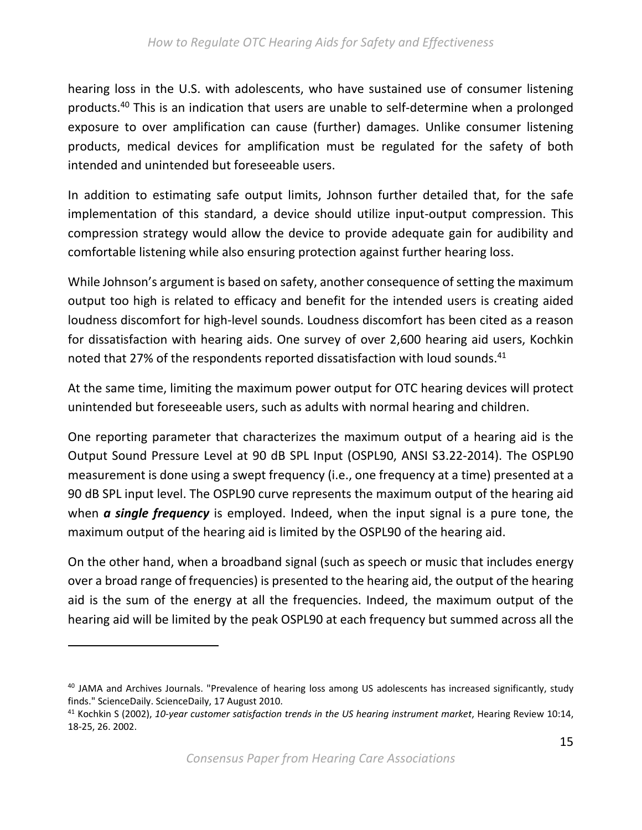hearing loss in the U.S. with adolescents, who have sustained use of consumer listening products.<sup>40</sup> This is an indication that users are unable to self-determine when a prolonged exposure to over amplification can cause (further) damages. Unlike consumer listening products, medical devices for amplification must be regulated for the safety of both intended and unintended but foreseeable users.

In addition to estimating safe output limits, Johnson further detailed that, for the safe implementation of this standard, a device should utilize input-output compression. This compression strategy would allow the device to provide adequate gain for audibility and comfortable listening while also ensuring protection against further hearing loss.

While Johnson's argument is based on safety, another consequence of setting the maximum output too high is related to efficacy and benefit for the intended users is creating aided loudness discomfort for high‐level sounds. Loudness discomfort has been cited as a reason for dissatisfaction with hearing aids. One survey of over 2,600 hearing aid users, Kochkin noted that 27% of the respondents reported dissatisfaction with loud sounds.<sup>41</sup>

At the same time, limiting the maximum power output for OTC hearing devices will protect unintended but foreseeable users, such as adults with normal hearing and children.

One reporting parameter that characterizes the maximum output of a hearing aid is the Output Sound Pressure Level at 90 dB SPL Input (OSPL90, ANSI S3.22‐2014). The OSPL90 measurement is done using a swept frequency (i.e., one frequency at a time) presented at a 90 dB SPL input level. The OSPL90 curve represents the maximum output of the hearing aid when **a single frequency** is employed. Indeed, when the input signal is a pure tone, the maximum output of the hearing aid is limited by the OSPL90 of the hearing aid.

On the other hand, when a broadband signal (such as speech or music that includes energy over a broad range of frequencies) is presented to the hearing aid, the output of the hearing aid is the sum of the energy at all the frequencies. Indeed, the maximum output of the hearing aid will be limited by the peak OSPL90 at each frequency but summed across all the

<sup>&</sup>lt;sup>40</sup> JAMA and Archives Journals. "Prevalence of hearing loss among US adolescents has increased significantly, study finds." ScienceDaily. ScienceDaily, 17 August 2010.

<sup>41</sup> Kochkin S (2002), *10‐year customer satisfaction trends in the US hearing instrument market*, Hearing Review 10:14, 18‐25, 26. 2002.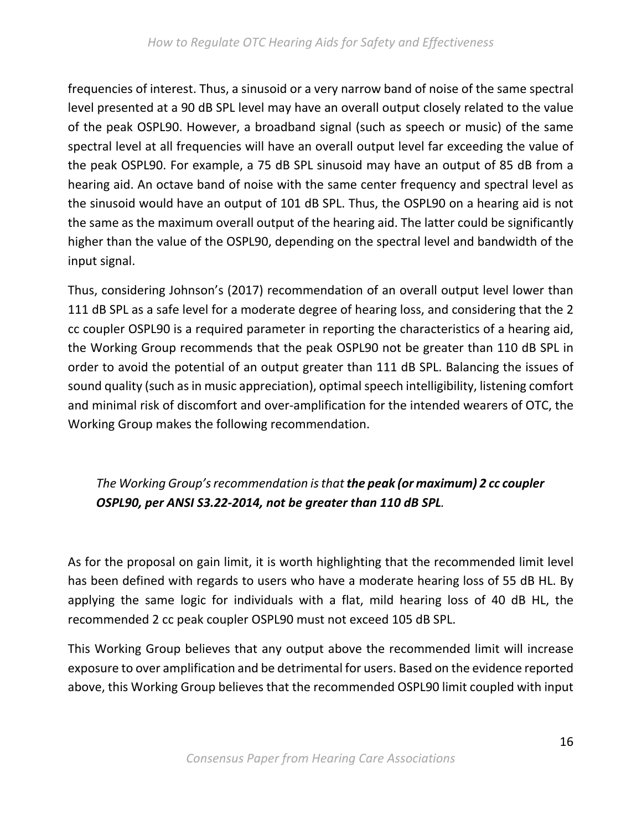frequencies of interest. Thus, a sinusoid or a very narrow band of noise of the same spectral level presented at a 90 dB SPL level may have an overall output closely related to the value of the peak OSPL90. However, a broadband signal (such as speech or music) of the same spectral level at all frequencies will have an overall output level far exceeding the value of the peak OSPL90. For example, a 75 dB SPL sinusoid may have an output of 85 dB from a hearing aid. An octave band of noise with the same center frequency and spectral level as the sinusoid would have an output of 101 dB SPL. Thus, the OSPL90 on a hearing aid is not the same as the maximum overall output of the hearing aid. The latter could be significantly higher than the value of the OSPL90, depending on the spectral level and bandwidth of the input signal.

Thus, considering Johnson's (2017) recommendation of an overall output level lower than 111 dB SPL as a safe level for a moderate degree of hearing loss, and considering that the 2 cc coupler OSPL90 is a required parameter in reporting the characteristics of a hearing aid, the Working Group recommends that the peak OSPL90 not be greater than 110 dB SPL in order to avoid the potential of an output greater than 111 dB SPL. Balancing the issues of sound quality (such as in music appreciation), optimal speech intelligibility, listening comfort and minimal risk of discomfort and over‐amplification for the intended wearers of OTC, the Working Group makes the following recommendation.

#### *The Working Group's recommendation is that the peak (or maximum) 2 cc coupler OSPL90, per ANSI S3.22‐2014, not be greater than 110 dB SPL.*

As for the proposal on gain limit, it is worth highlighting that the recommended limit level has been defined with regards to users who have a moderate hearing loss of 55 dB HL. By applying the same logic for individuals with a flat, mild hearing loss of 40 dB HL, the recommended 2 cc peak coupler OSPL90 must not exceed 105 dB SPL.

This Working Group believes that any output above the recommended limit will increase exposure to over amplification and be detrimental for users. Based on the evidence reported above, this Working Group believes that the recommended OSPL90 limit coupled with input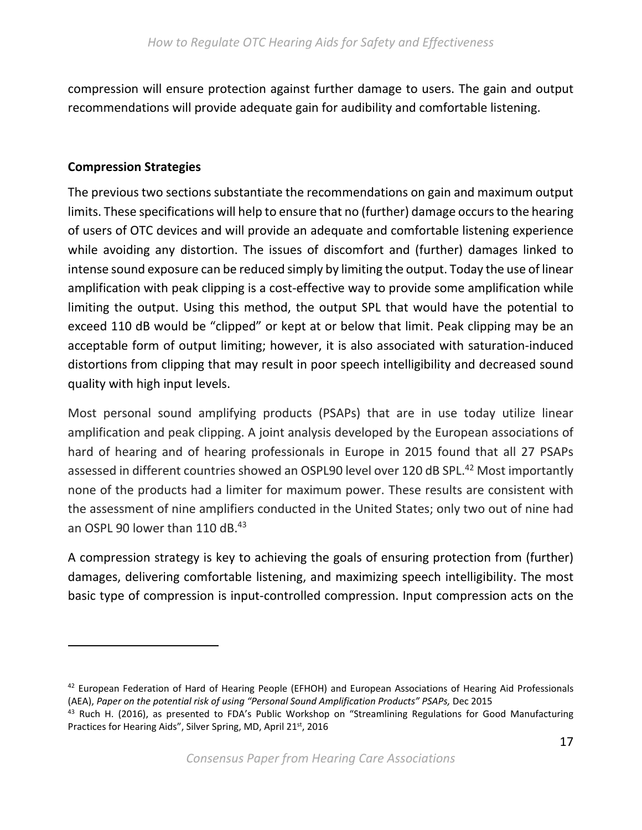compression will ensure protection against further damage to users. The gain and output recommendations will provide adequate gain for audibility and comfortable listening.

#### **Compression Strategies**

The previous two sections substantiate the recommendations on gain and maximum output limits. These specifications will help to ensure that no (further) damage occurs to the hearing of users of OTC devices and will provide an adequate and comfortable listening experience while avoiding any distortion. The issues of discomfort and (further) damages linked to intense sound exposure can be reduced simply by limiting the output. Today the use of linear amplification with peak clipping is a cost-effective way to provide some amplification while limiting the output. Using this method, the output SPL that would have the potential to exceed 110 dB would be "clipped" or kept at or below that limit. Peak clipping may be an acceptable form of output limiting; however, it is also associated with saturation‐induced distortions from clipping that may result in poor speech intelligibility and decreased sound quality with high input levels.

Most personal sound amplifying products (PSAPs) that are in use today utilize linear amplification and peak clipping. A joint analysis developed by the European associations of hard of hearing and of hearing professionals in Europe in 2015 found that all 27 PSAPs assessed in different countries showed an OSPL90 level over 120 dB SPL.<sup>42</sup> Most importantly none of the products had a limiter for maximum power. These results are consistent with the assessment of nine amplifiers conducted in the United States; only two out of nine had an OSPL 90 lower than 110 dB. $43$ 

A compression strategy is key to achieving the goals of ensuring protection from (further) damages, delivering comfortable listening, and maximizing speech intelligibility. The most basic type of compression is input‐controlled compression. Input compression acts on the

 $42$  European Federation of Hard of Hearing People (EFHOH) and European Associations of Hearing Aid Professionals (AEA), Paper on the potential risk of using "Personal Sound Amplification Products" PSAPs, Dec 2015

 $43$  Ruch H. (2016), as presented to FDA's Public Workshop on "Streamlining Regulations for Good Manufacturing Practices for Hearing Aids", Silver Spring, MD, April 21st, 2016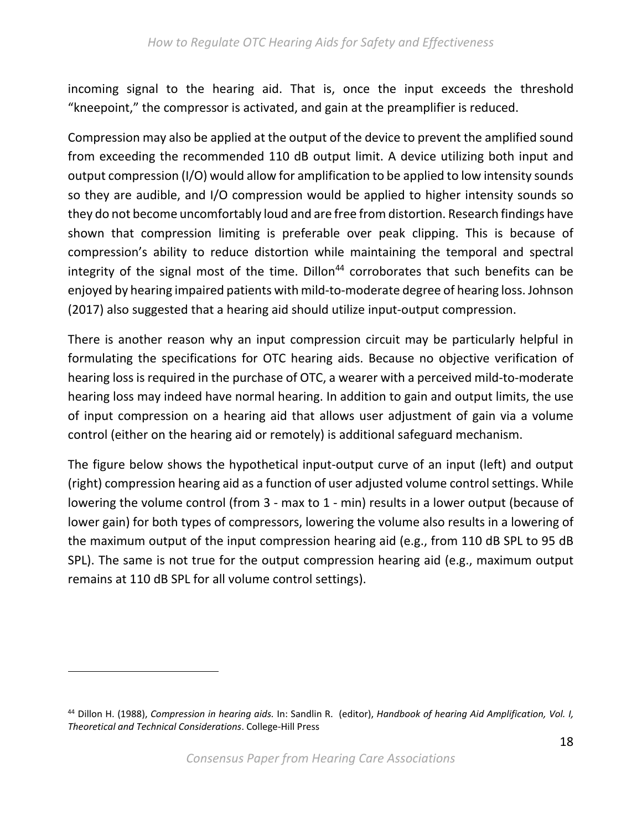incoming signal to the hearing aid. That is, once the input exceeds the threshold "kneepoint," the compressor is activated, and gain at the preamplifier is reduced.

Compression may also be applied at the output of the device to prevent the amplified sound from exceeding the recommended 110 dB output limit. A device utilizing both input and output compression (I/O) would allow for amplification to be applied to low intensity sounds so they are audible, and I/O compression would be applied to higher intensity sounds so they do not become uncomfortably loud and are free from distortion. Research findings have shown that compression limiting is preferable over peak clipping. This is because of compression's ability to reduce distortion while maintaining the temporal and spectral integrity of the signal most of the time.  $Dillon^{44}$  corroborates that such benefits can be enjoyed by hearing impaired patients with mild‐to‐moderate degree of hearing loss. Johnson (2017) also suggested that a hearing aid should utilize input‐output compression.

There is another reason why an input compression circuit may be particularly helpful in formulating the specifications for OTC hearing aids. Because no objective verification of hearing loss is required in the purchase of OTC, a wearer with a perceived mild‐to‐moderate hearing loss may indeed have normal hearing. In addition to gain and output limits, the use of input compression on a hearing aid that allows user adjustment of gain via a volume control (either on the hearing aid or remotely) is additional safeguard mechanism.

The figure below shows the hypothetical input‐output curve of an input (left) and output (right) compression hearing aid as a function of user adjusted volume control settings. While lowering the volume control (from 3 - max to 1 - min) results in a lower output (because of lower gain) for both types of compressors, lowering the volume also results in a lowering of the maximum output of the input compression hearing aid (e.g., from 110 dB SPL to 95 dB SPL). The same is not true for the output compression hearing aid (e.g., maximum output remains at 110 dB SPL for all volume control settings).

<sup>44</sup> Dillon H. (1988), *Compression in hearing aids.* In: Sandlin R. (editor), *Handbook of hearing Aid Amplification, Vol. I, Theoretical and Technical Considerations*. College‐Hill Press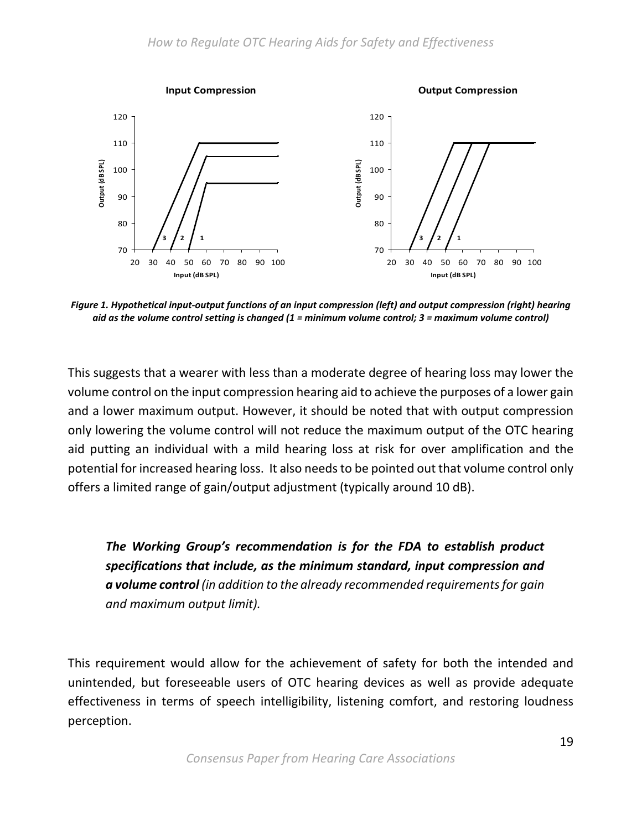

*Figure 1. Hypothetical input‐output functions of an input compression (left) and output compression (right) hearing aid as the volume control setting is changed (1 = minimum volume control; 3 = maximum volume control)* 

This suggests that a wearer with less than a moderate degree of hearing loss may lower the volume control on the input compression hearing aid to achieve the purposes of a lower gain and a lower maximum output. However, it should be noted that with output compression only lowering the volume control will not reduce the maximum output of the OTC hearing aid putting an individual with a mild hearing loss at risk for over amplification and the potential for increased hearing loss. It also needs to be pointed out that volume control only offers a limited range of gain/output adjustment (typically around 10 dB).

*The Working Group's recommendation is for the FDA to establish product specifications that include, as the minimum standard, input compression and a volume control (in addition to the already recommended requirements for gain and maximum output limit).* 

This requirement would allow for the achievement of safety for both the intended and unintended, but foreseeable users of OTC hearing devices as well as provide adequate effectiveness in terms of speech intelligibility, listening comfort, and restoring loudness perception.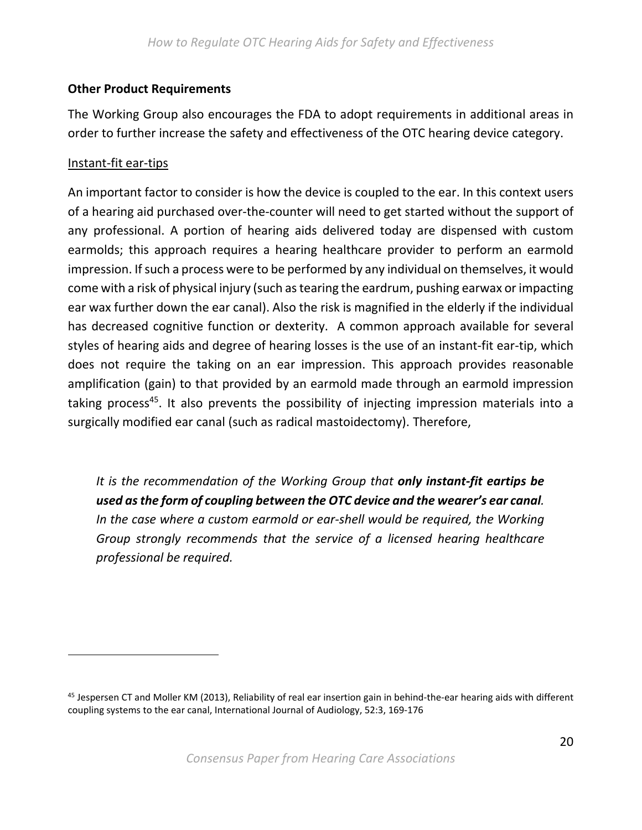#### **Other Product Requirements**

The Working Group also encourages the FDA to adopt requirements in additional areas in order to further increase the safety and effectiveness of the OTC hearing device category.

#### Instant‐fit ear‐tips

An important factor to consider is how the device is coupled to the ear. In this context users of a hearing aid purchased over‐the‐counter will need to get started without the support of any professional. A portion of hearing aids delivered today are dispensed with custom earmolds; this approach requires a hearing healthcare provider to perform an earmold impression. If such a process were to be performed by any individual on themselves, it would come with a risk of physical injury (such as tearing the eardrum, pushing earwax or impacting ear wax further down the ear canal). Also the risk is magnified in the elderly if the individual has decreased cognitive function or dexterity. A common approach available for several styles of hearing aids and degree of hearing losses is the use of an instant‐fit ear‐tip, which does not require the taking on an ear impression. This approach provides reasonable amplification (gain) to that provided by an earmold made through an earmold impression taking process<sup>45</sup>. It also prevents the possibility of injecting impression materials into a surgically modified ear canal (such as radical mastoidectomy). Therefore,

*It is the recommendation of the Working Group that only instant‐fit eartips be used as the form of coupling between the OTC device and the wearer's ear canal. In the case where a custom earmold or ear‐shell would be required, the Working Group strongly recommends that the service of a licensed hearing healthcare professional be required.* 

<sup>45</sup> Jespersen CT and Moller KM (2013), Reliability of real ear insertion gain in behind-the-ear hearing aids with different coupling systems to the ear canal, International Journal of Audiology, 52:3, 169‐176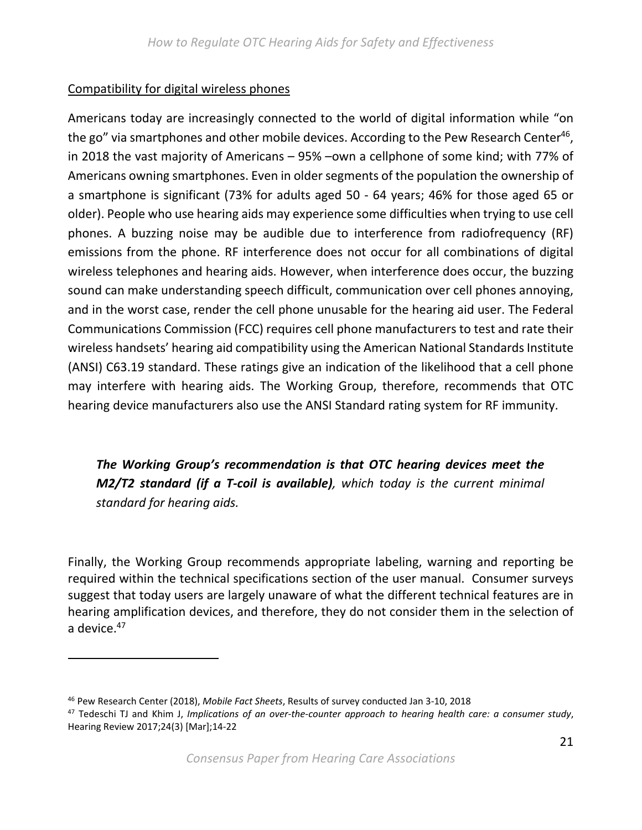#### Compatibility for digital wireless phones

Americans today are increasingly connected to the world of digital information while "on the go" via smartphones and other mobile devices. According to the Pew Research Center<sup>46</sup>, in 2018 the vast majority of Americans – 95% –own a cellphone of some kind; with 77% of Americans owning smartphones. Even in older segments of the population the ownership of a smartphone is significant (73% for adults aged 50 ‐ 64 years; 46% for those aged 65 or older). People who use hearing aids may experience some difficulties when trying to use cell phones. A buzzing noise may be audible due to interference from radiofrequency (RF) emissions from the phone. RF interference does not occur for all combinations of digital wireless telephones and hearing aids. However, when interference does occur, the buzzing sound can make understanding speech difficult, communication over cell phones annoying, and in the worst case, render the cell phone unusable for the hearing aid user. The Federal Communications Commission (FCC) requires cell phone manufacturers to test and rate their wireless handsets' hearing aid compatibility using the American National Standards Institute (ANSI) C63.19 standard. These ratings give an indication of the likelihood that a cell phone may interfere with hearing aids. The Working Group, therefore, recommends that OTC hearing device manufacturers also use the ANSI Standard rating system for RF immunity.

*The Working Group's recommendation is that OTC hearing devices meet the M2/T2 standard (if a T‐coil is available), which today is the current minimal standard for hearing aids.* 

Finally, the Working Group recommends appropriate labeling, warning and reporting be required within the technical specifications section of the user manual. Consumer surveys suggest that today users are largely unaware of what the different technical features are in hearing amplification devices, and therefore, they do not consider them in the selection of a device.<sup>47</sup>

<sup>46</sup> Pew Research Center (2018), *Mobile Fact Sheets*, Results of survey conducted Jan 3‐10, 2018

<sup>47</sup> Tedeschi TJ and Khim J, *Implications of an over‐the‐counter approach to hearing health care: a consumer study*, Hearing Review 2017;24(3) [Mar];14‐22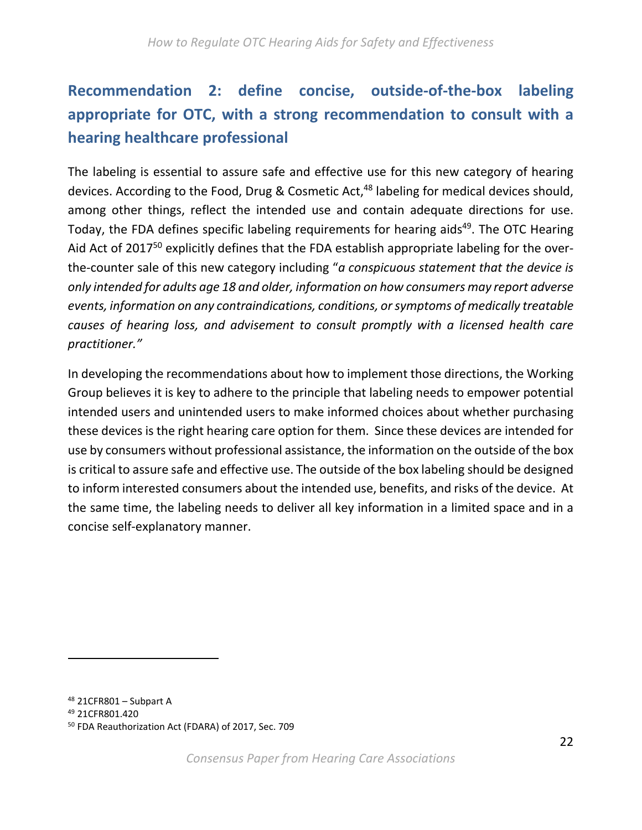# **Recommendation 2: define concise, outside‐of‐the‐box labeling appropriate for OTC, with a strong recommendation to consult with a hearing healthcare professional**

The labeling is essential to assure safe and effective use for this new category of hearing devices. According to the Food, Drug & Cosmetic Act,<sup>48</sup> labeling for medical devices should, among other things, reflect the intended use and contain adequate directions for use. Today, the FDA defines specific labeling requirements for hearing aids<sup>49</sup>. The OTC Hearing Aid Act of 2017<sup>50</sup> explicitly defines that the FDA establish appropriate labeling for the overthe‐counter sale of this new category including "*a conspicuous statement that the device is only intended for adults age 18 and older, information on how consumers may report adverse events, information on any contraindications, conditions, or symptoms of medically treatable causes of hearing loss, and advisement to consult promptly with a licensed health care practitioner."*

In developing the recommendations about how to implement those directions, the Working Group believes it is key to adhere to the principle that labeling needs to empower potential intended users and unintended users to make informed choices about whether purchasing these devices is the right hearing care option for them. Since these devices are intended for use by consumers without professional assistance, the information on the outside of the box is critical to assure safe and effective use. The outside of the box labeling should be designed to inform interested consumers about the intended use, benefits, and risks of the device. At the same time, the labeling needs to deliver all key information in a limited space and in a concise self‐explanatory manner.

<sup>48 21</sup>CFR801 – Subpart A 49 21CFR801.420 50 FDA Reauthorization Act (FDARA) of 2017, Sec. 709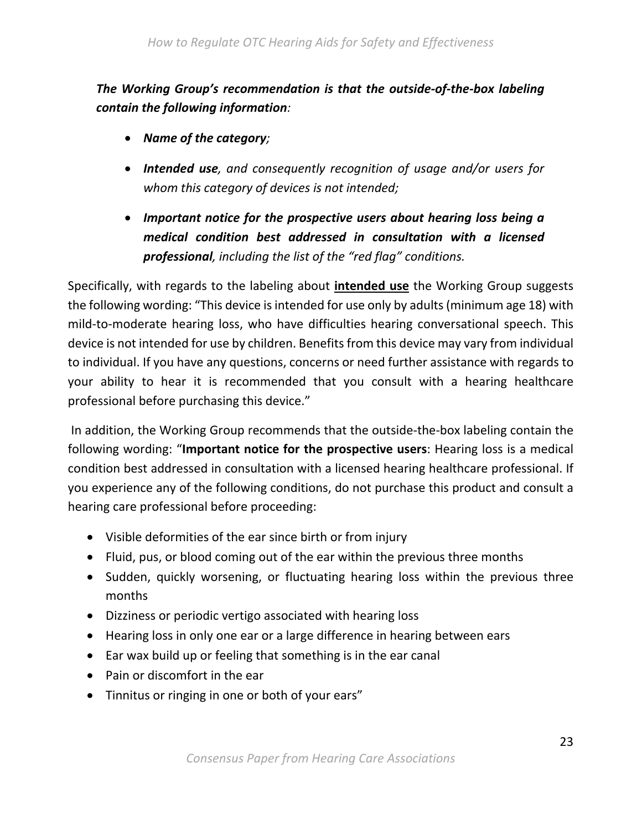*The Working Group's recommendation is that the outside‐of‐the‐box labeling contain the following information:* 

- *Name of the category;*
- *Intended use, and consequently recognition of usage and/or users for whom this category of devices is not intended;*
- *Important notice for the prospective users about hearing loss being a medical condition best addressed in consultation with a licensed professional, including the list of the "red flag" conditions.*

Specifically, with regards to the labeling about **intended use** the Working Group suggests the following wording: "This device is intended for use only by adults (minimum age 18) with mild-to-moderate hearing loss, who have difficulties hearing conversational speech. This device is not intended for use by children. Benefits from this device may vary from individual to individual. If you have any questions, concerns or need further assistance with regards to your ability to hear it is recommended that you consult with a hearing healthcare professional before purchasing this device."

 In addition, the Working Group recommends that the outside‐the‐box labeling contain the following wording: "**Important notice for the prospective users**: Hearing loss is a medical condition best addressed in consultation with a licensed hearing healthcare professional. If you experience any of the following conditions, do not purchase this product and consult a hearing care professional before proceeding:

- Visible deformities of the ear since birth or from injury
- Fluid, pus, or blood coming out of the ear within the previous three months
- Sudden, quickly worsening, or fluctuating hearing loss within the previous three months
- Dizziness or periodic vertigo associated with hearing loss
- Hearing loss in only one ear or a large difference in hearing between ears
- Ear wax build up or feeling that something is in the ear canal
- Pain or discomfort in the ear
- Tinnitus or ringing in one or both of your ears"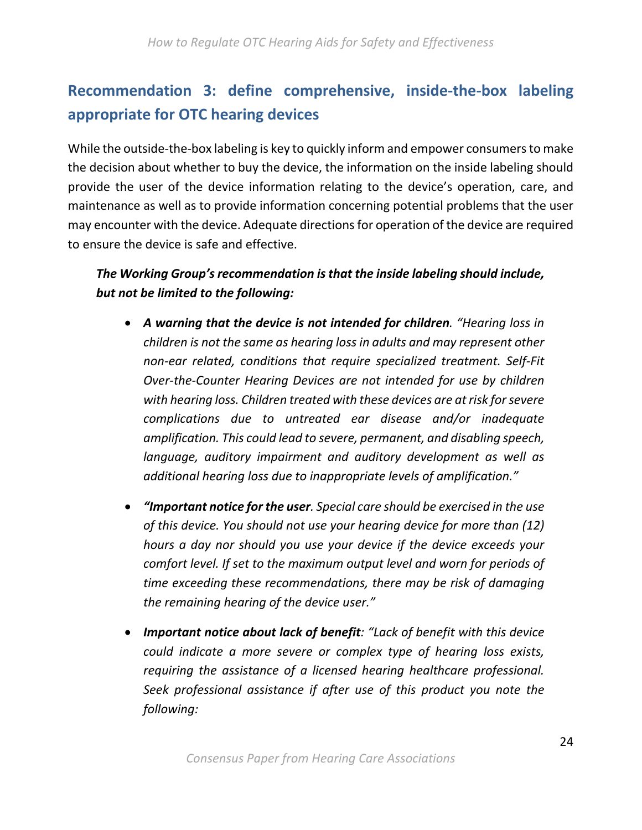## **Recommendation 3: define comprehensive, inside‐the‐box labeling appropriate for OTC hearing devices**

While the outside-the-box labeling is key to quickly inform and empower consumers to make the decision about whether to buy the device, the information on the inside labeling should provide the user of the device information relating to the device's operation, care, and maintenance as well as to provide information concerning potential problems that the user may encounter with the device. Adequate directions for operation of the device are required to ensure the device is safe and effective.

#### *The Working Group's recommendation is that the inside labeling should include, but not be limited to the following:*

- *A warning that the device is not intended for children. "Hearing loss in children is not the same as hearing loss in adults and may represent other non‐ear related, conditions that require specialized treatment. Self‐Fit Over‐the‐Counter Hearing Devices are not intended for use by children with hearing loss. Children treated with these devices are at risk for severe complications due to untreated ear disease and/or inadequate amplification. This could lead to severe, permanent, and disabling speech, language, auditory impairment and auditory development as well as additional hearing loss due to inappropriate levels of amplification."*
- *"Important notice for the user. Special care should be exercised in the use of this device. You should not use your hearing device for more than (12) hours a day nor should you use your device if the device exceeds your comfort level. If set to the maximum output level and worn for periods of time exceeding these recommendations, there may be risk of damaging the remaining hearing of the device user."*
- *Important notice about lack of benefit: "Lack of benefit with this device could indicate a more severe or complex type of hearing loss exists, requiring the assistance of a licensed hearing healthcare professional. Seek professional assistance if after use of this product you note the following:*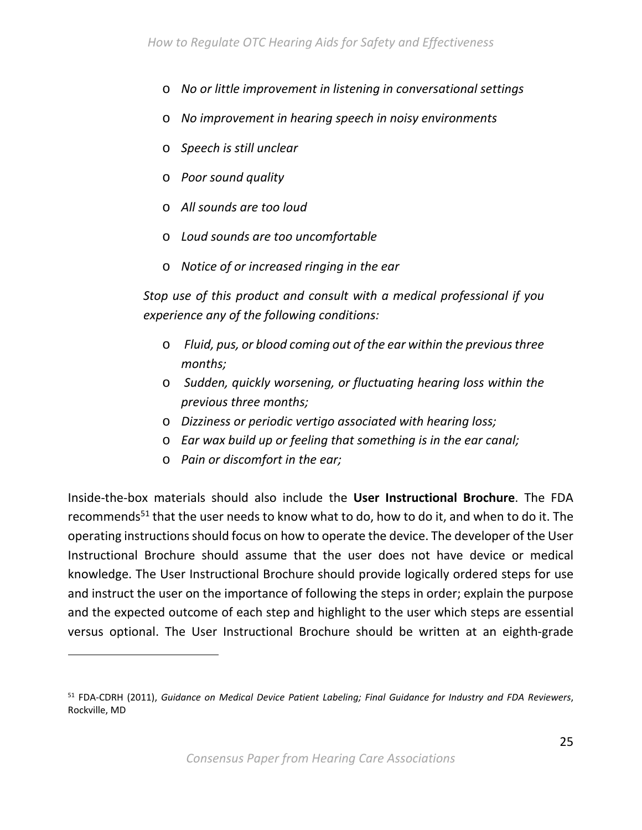- o *No or little improvement in listening in conversational settings*
- o *No improvement in hearing speech in noisy environments*
- o *Speech is still unclear*
- o *Poor sound quality*
- o *All sounds are too loud*
- o *Loud sounds are too uncomfortable*
- o *Notice of or increased ringing in the ear*

*Stop use of this product and consult with a medical professional if you experience any of the following conditions:* 

- o  *Fluid, pus, or blood coming out of the ear within the previous three months;*
- o  *Sudden, quickly worsening, or fluctuating hearing loss within the previous three months;*
- o *Dizziness or periodic vertigo associated with hearing loss;*
- o *Ear wax build up or feeling that something is in the ear canal;*
- o *Pain or discomfort in the ear;*

Inside‐the‐box materials should also include the **User Instructional Brochure**. The FDA recommends<sup>51</sup> that the user needs to know what to do, how to do it, and when to do it. The operating instructions should focus on how to operate the device. The developer of the User Instructional Brochure should assume that the user does not have device or medical knowledge. The User Instructional Brochure should provide logically ordered steps for use and instruct the user on the importance of following the steps in order; explain the purpose and the expected outcome of each step and highlight to the user which steps are essential versus optional. The User Instructional Brochure should be written at an eighth‐grade

<sup>51</sup> FDA‐CDRH (2011), *Guidance on Medical Device Patient Labeling; Final Guidance for Industry and FDA Reviewers*, Rockville, MD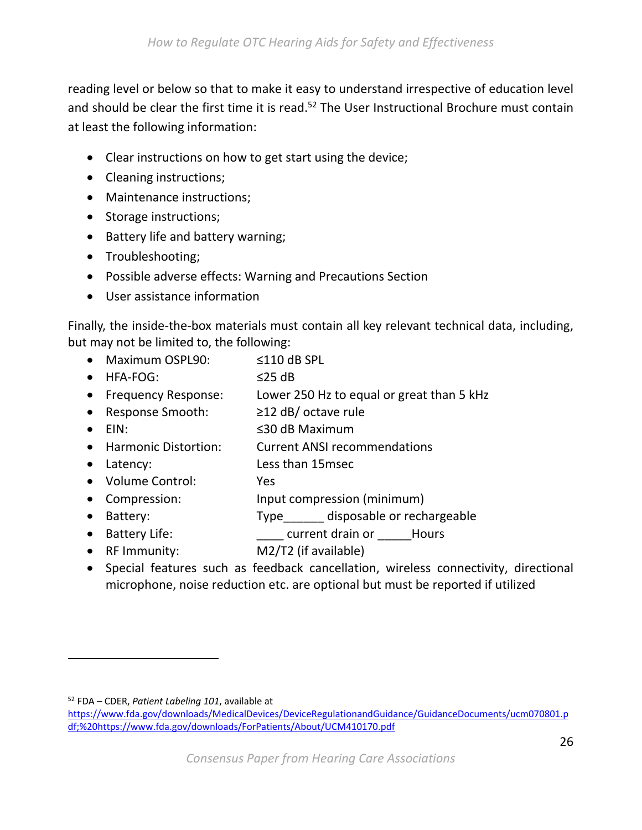reading level or below so that to make it easy to understand irrespective of education level and should be clear the first time it is read.<sup>52</sup> The User Instructional Brochure must contain at least the following information:

- Clear instructions on how to get start using the device;
- Cleaning instructions;
- Maintenance instructions;
- Storage instructions;
- Battery life and battery warning;
- Troubleshooting;
- Possible adverse effects: Warning and Precautions Section
- User assistance information

Finally, the inside-the-box materials must contain all key relevant technical data, including, but may not be limited to, the following:

- Maximum OSPL90: ≤110 dB SPL
- $\bullet$  HFA-FOG:  $\leq$ 25 dB
- Frequency Response: Lower 250 Hz to equal or great than 5 kHz
- Response Smooth: ≥12 dB/ octave rule
- $\bullet$  EIN:  $\leq$ 30 dB Maximum
- Harmonic Distortion: Current ANSI recommendations
- Latency: Less than 15msec
- Volume Control: Yes
- Compression: Input compression (minimum)
- Battery: Type\_\_\_\_\_\_ disposable or rechargeable
- Battery Life:  $\qquad \qquad \qquad 2$  current drain or Bours
- RF Immunity: M2/T2 (if available)
- Special features such as feedback cancellation, wireless connectivity, directional microphone, noise reduction etc. are optional but must be reported if utilized

<sup>52</sup> FDA – CDER, *Patient Labeling 101*, available at

https://www.fda.gov/downloads/MedicalDevices/DeviceRegulationandGuidance/GuidanceDocuments/ucm070801.p df;%20https://www.fda.gov/downloads/ForPatients/About/UCM410170.pdf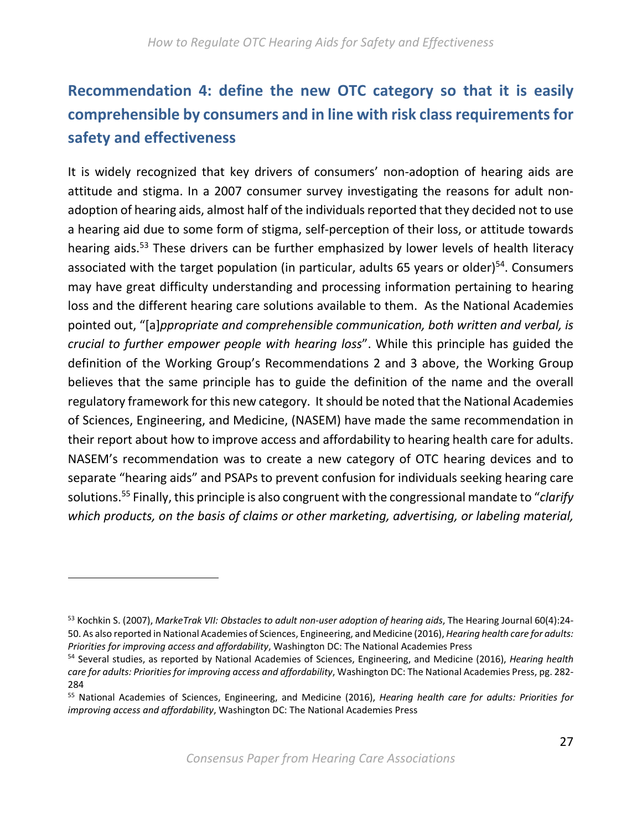# **Recommendation 4: define the new OTC category so that it is easily comprehensible by consumers and in line with risk class requirements for safety and effectiveness**

It is widely recognized that key drivers of consumers' non-adoption of hearing aids are attitude and stigma. In a 2007 consumer survey investigating the reasons for adult nonadoption of hearing aids, almost half of the individuals reported that they decided not to use a hearing aid due to some form of stigma, self‐perception of their loss, or attitude towards hearing aids.<sup>53</sup> These drivers can be further emphasized by lower levels of health literacy associated with the target population (in particular, adults 65 years or older)<sup>54</sup>. Consumers may have great difficulty understanding and processing information pertaining to hearing loss and the different hearing care solutions available to them. As the National Academies pointed out, "[a]*ppropriate and comprehensible communication, both written and verbal, is crucial to further empower people with hearing loss*". While this principle has guided the definition of the Working Group's Recommendations 2 and 3 above, the Working Group believes that the same principle has to guide the definition of the name and the overall regulatory framework for this new category. It should be noted that the National Academies of Sciences, Engineering, and Medicine, (NASEM) have made the same recommendation in their report about how to improve access and affordability to hearing health care for adults. NASEM's recommendation was to create a new category of OTC hearing devices and to separate "hearing aids" and PSAPs to prevent confusion for individuals seeking hearing care solutions.55 Finally, this principle is also congruent with the congressional mandate to "*clarify which products, on the basis of claims or other marketing, advertising, or labeling material,* 

<sup>53</sup> Kochkin S. (2007), *MarkeTrak VII: Obstacles to adult non-user adoption of hearing aids*, The Hearing Journal 60(4):24-50. As also reported in National Academies of Sciences, Engineering, and Medicine (2016), *Hearing health care for adults: Priorities for improving access and affordability*, Washington DC: The National Academies Press

<sup>54</sup> Several studies, as reported by National Academies of Sciences, Engineering, and Medicine (2016), *Hearing health care for adults: Priorities for improving access and affordability*, Washington DC: The National Academies Press, pg. 282‐ 284

<sup>55</sup> National Academies of Sciences, Engineering, and Medicine (2016), *Hearing health care for adults: Priorities for improving access and affordability*, Washington DC: The National Academies Press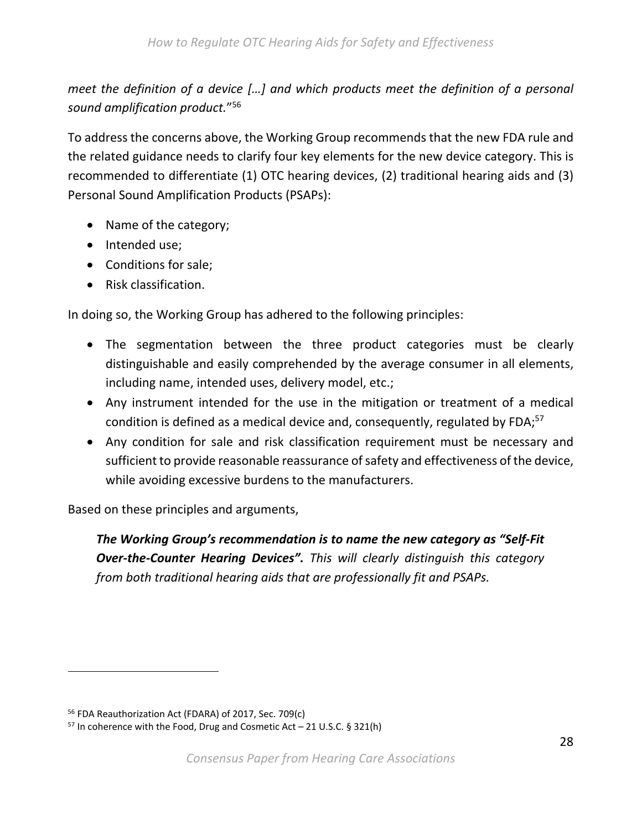*meet the definition of a device […] and which products meet the definition of a personal sound amplification product.*"56

To address the concerns above, the Working Group recommends that the new FDA rule and the related guidance needs to clarify four key elements for the new device category. This is recommended to differentiate (1) OTC hearing devices, (2) traditional hearing aids and (3) Personal Sound Amplification Products (PSAPs):

- Name of the category;
- Intended use;
- Conditions for sale;
- Risk classification.

In doing so, the Working Group has adhered to the following principles:

- The segmentation between the three product categories must be clearly distinguishable and easily comprehended by the average consumer in all elements, including name, intended uses, delivery model, etc.;
- Any instrument intended for the use in the mitigation or treatment of a medical condition is defined as a medical device and, consequently, regulated by FDA;<sup>57</sup>
- Any condition for sale and risk classification requirement must be necessary and sufficient to provide reasonable reassurance of safety and effectiveness of the device, while avoiding excessive burdens to the manufacturers.

Based on these principles and arguments,

*The Working Group's recommendation is to name the new category as "Self‐Fit Over‐the‐Counter Hearing Devices". This will clearly distinguish this category from both traditional hearing aids that are professionally fit and PSAPs.*

<sup>56</sup> FDA Reauthorization Act (FDARA) of 2017, Sec. 709(c)

 $57$  In coherence with the Food, Drug and Cosmetic Act – 21 U.S.C. § 321(h)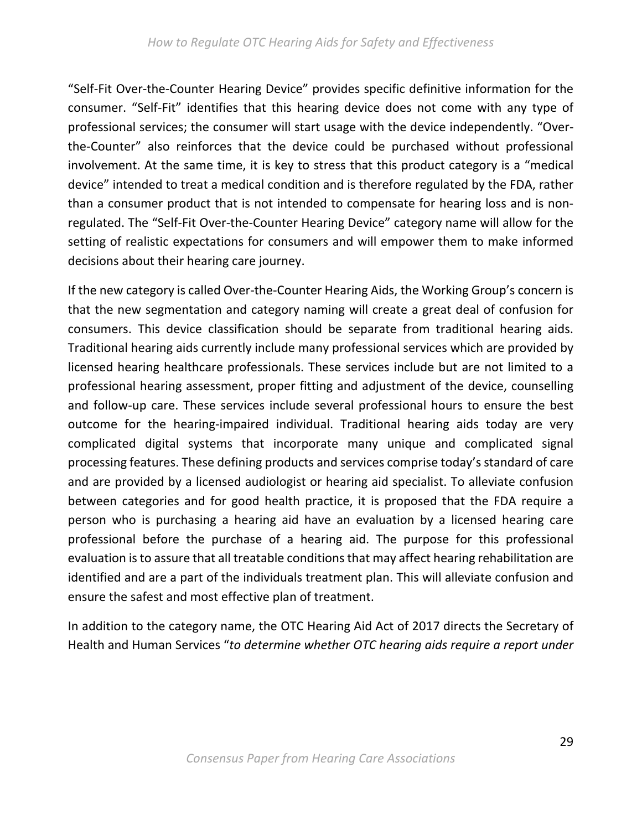"Self‐Fit Over‐the‐Counter Hearing Device" provides specific definitive information for the consumer. "Self-Fit" identifies that this hearing device does not come with any type of professional services; the consumer will start usage with the device independently. "Over‐ the‐Counter" also reinforces that the device could be purchased without professional involvement. At the same time, it is key to stress that this product category is a "medical device" intended to treat a medical condition and is therefore regulated by the FDA, rather than a consumer product that is not intended to compensate for hearing loss and is non‐ regulated. The "Self‐Fit Over‐the‐Counter Hearing Device" category name will allow for the setting of realistic expectations for consumers and will empower them to make informed decisions about their hearing care journey.

If the new category is called Over‐the‐Counter Hearing Aids, the Working Group's concern is that the new segmentation and category naming will create a great deal of confusion for consumers. This device classification should be separate from traditional hearing aids. Traditional hearing aids currently include many professional services which are provided by licensed hearing healthcare professionals. These services include but are not limited to a professional hearing assessment, proper fitting and adjustment of the device, counselling and follow-up care. These services include several professional hours to ensure the best outcome for the hearing‐impaired individual. Traditional hearing aids today are very complicated digital systems that incorporate many unique and complicated signal processing features. These defining products and services comprise today's standard of care and are provided by a licensed audiologist or hearing aid specialist. To alleviate confusion between categories and for good health practice, it is proposed that the FDA require a person who is purchasing a hearing aid have an evaluation by a licensed hearing care professional before the purchase of a hearing aid. The purpose for this professional evaluation is to assure that all treatable conditions that may affect hearing rehabilitation are identified and are a part of the individuals treatment plan. This will alleviate confusion and ensure the safest and most effective plan of treatment.

In addition to the category name, the OTC Hearing Aid Act of 2017 directs the Secretary of Health and Human Services "*to determine whether OTC hearing aids require a report under*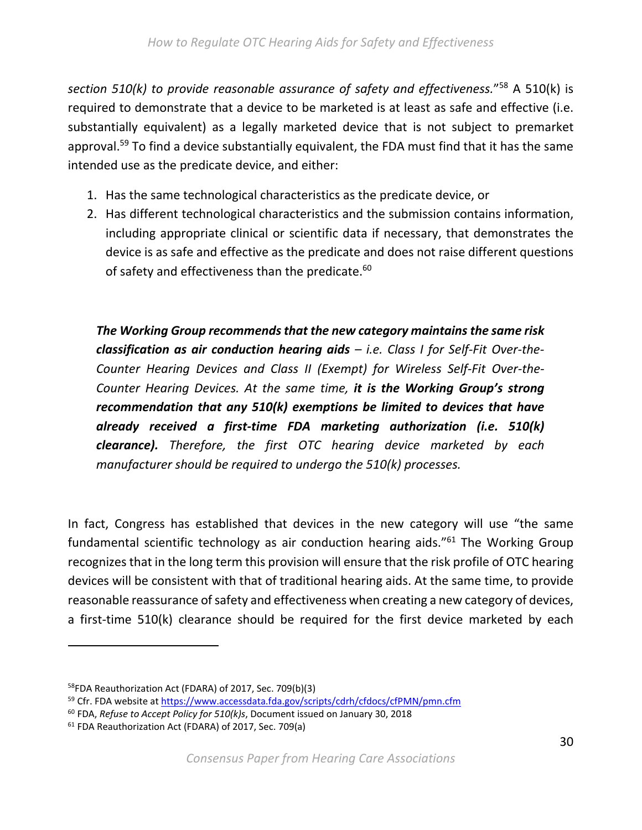*section 510(k) to provide reasonable assurance of safety and effectiveness.*"58 A 510(k) is required to demonstrate that a device to be marketed is at least as safe and effective (i.e. substantially equivalent) as a legally marketed device that is not subject to premarket approval.<sup>59</sup> To find a device substantially equivalent, the FDA must find that it has the same intended use as the predicate device, and either:

- 1. Has the same technological characteristics as the predicate device, or
- 2. Has different technological characteristics and the submission contains information, including appropriate clinical or scientific data if necessary, that demonstrates the device is as safe and effective as the predicate and does not raise different questions of safety and effectiveness than the predicate.<sup>60</sup>

*The Working Group recommends that the new category maintains the same risk classification as air conduction hearing aids – i.e. Class I for Self‐Fit Over‐the‐ Counter Hearing Devices and Class II (Exempt) for Wireless Self‐Fit Over‐the‐ Counter Hearing Devices. At the same time, it is the Working Group's strong recommendation that any 510(k) exemptions be limited to devices that have already received a first‐time FDA marketing authorization (i.e. 510(k) clearance). Therefore, the first OTC hearing device marketed by each manufacturer should be required to undergo the 510(k) processes.* 

In fact, Congress has established that devices in the new category will use "the same fundamental scientific technology as air conduction hearing aids."<sup>61</sup> The Working Group recognizes that in the long term this provision will ensure that the risk profile of OTC hearing devices will be consistent with that of traditional hearing aids. At the same time, to provide reasonable reassurance of safety and effectiveness when creating a new category of devices, a first-time 510(k) clearance should be required for the first device marketed by each

<sup>58</sup>FDA Reauthorization Act (FDARA) of 2017, Sec. 709(b)(3)

<sup>59</sup> Cfr. FDA website at https://www.accessdata.fda.gov/scripts/cdrh/cfdocs/cfPMN/pmn.cfm

<sup>60</sup> FDA, *Refuse to Accept Policy for 510(k)s*, Document issued on January 30, 2018

<sup>61</sup> FDA Reauthorization Act (FDARA) of 2017, Sec. 709(a)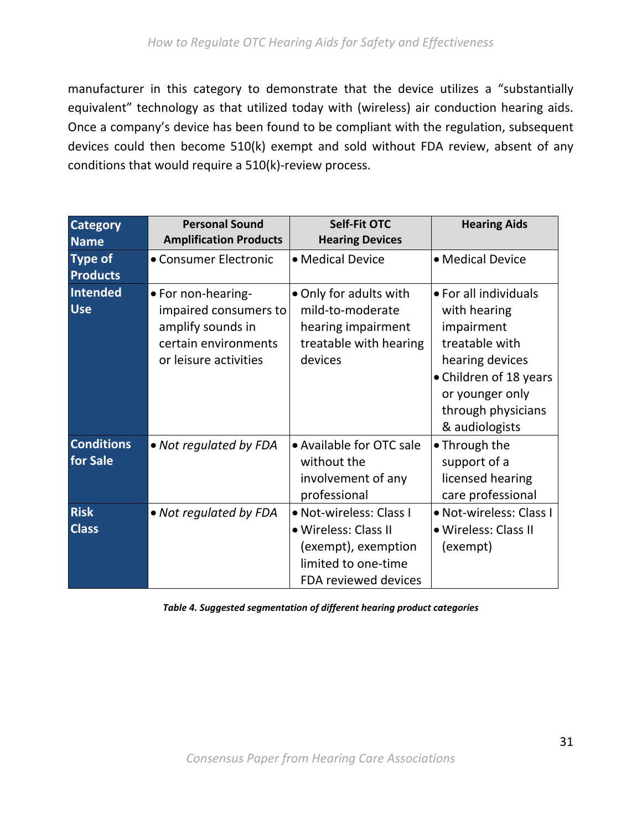manufacturer in this category to demonstrate that the device utilizes a "substantially equivalent" technology as that utilized today with (wireless) air conduction hearing aids. Once a company's device has been found to be compliant with the regulation, subsequent devices could then become 510(k) exempt and sold without FDA review, absent of any conditions that would require a 510(k)‐review process.

| <b>Category</b><br><b>Name</b>    | <b>Personal Sound</b><br><b>Amplification Products</b>                                                            | <b>Self-Fit OTC</b><br><b>Hearing Devices</b>                                                                         | <b>Hearing Aids</b>                                                                                                                                                           |
|-----------------------------------|-------------------------------------------------------------------------------------------------------------------|-----------------------------------------------------------------------------------------------------------------------|-------------------------------------------------------------------------------------------------------------------------------------------------------------------------------|
| <b>Type of</b><br><b>Products</b> | • Consumer Electronic                                                                                             | • Medical Device                                                                                                      | • Medical Device                                                                                                                                                              |
| Intended<br><b>Use</b>            | • For non-hearing-<br>impaired consumers to<br>amplify sounds in<br>certain environments<br>or leisure activities | • Only for adults with<br>mild-to-moderate<br>hearing impairment<br>treatable with hearing<br>devices                 | • For all individuals<br>with hearing<br>impairment<br>treatable with<br>hearing devices<br>• Children of 18 years<br>or younger only<br>through physicians<br>& audiologists |
| <b>Conditions</b><br>for Sale     | • Not regulated by FDA                                                                                            | • Available for OTC sale<br>without the<br>involvement of any<br>professional                                         | • Through the<br>support of a<br>licensed hearing<br>care professional                                                                                                        |
| <b>Risk</b><br><b>Class</b>       | • Not regulated by FDA                                                                                            | • Not-wireless: Class I<br>• Wireless: Class II<br>(exempt), exemption<br>limited to one-time<br>FDA reviewed devices | · Not-wireless: Class I<br>• Wireless: Class II<br>(exempt)                                                                                                                   |

*Table 4. Suggested segmentation of different hearing product categories*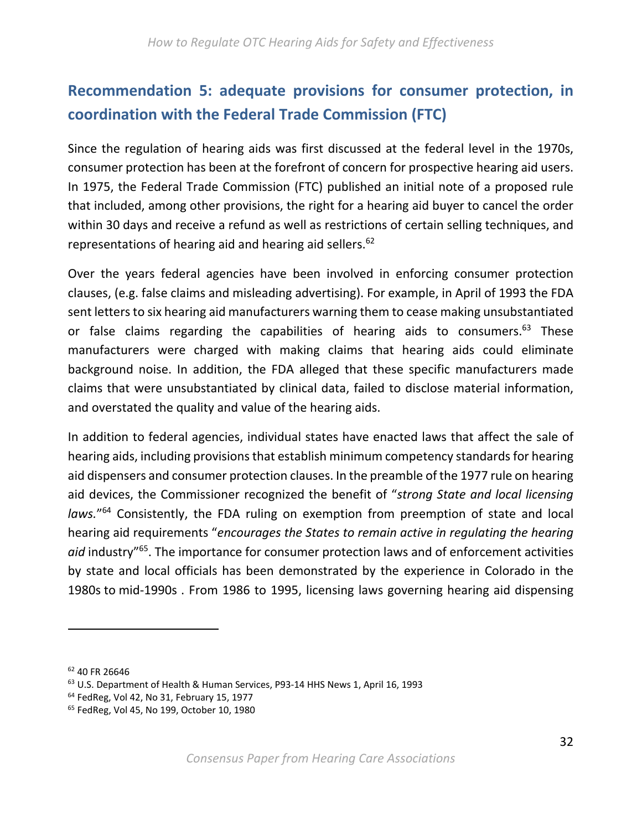## **Recommendation 5: adequate provisions for consumer protection, in coordination with the Federal Trade Commission (FTC)**

Since the regulation of hearing aids was first discussed at the federal level in the 1970s, consumer protection has been at the forefront of concern for prospective hearing aid users. In 1975, the Federal Trade Commission (FTC) published an initial note of a proposed rule that included, among other provisions, the right for a hearing aid buyer to cancel the order within 30 days and receive a refund as well as restrictions of certain selling techniques, and representations of hearing aid and hearing aid sellers.<sup>62</sup>

Over the years federal agencies have been involved in enforcing consumer protection clauses, (e.g. false claims and misleading advertising). For example, in April of 1993 the FDA sent letters to six hearing aid manufacturers warning them to cease making unsubstantiated or false claims regarding the capabilities of hearing aids to consumers. $63$  These manufacturers were charged with making claims that hearing aids could eliminate background noise. In addition, the FDA alleged that these specific manufacturers made claims that were unsubstantiated by clinical data, failed to disclose material information, and overstated the quality and value of the hearing aids.

In addition to federal agencies, individual states have enacted laws that affect the sale of hearing aids, including provisions that establish minimum competency standards for hearing aid dispensers and consumer protection clauses. In the preamble of the 1977 rule on hearing aid devices, the Commissioner recognized the benefit of "*strong State and local licensing*  laws."<sup>64</sup> Consistently, the FDA ruling on exemption from preemption of state and local hearing aid requirements "*encourages the States to remain active in regulating the hearing aid* industry"65. The importance for consumer protection laws and of enforcement activities by state and local officials has been demonstrated by the experience in Colorado in the 1980s to mid‐1990s . From 1986 to 1995, licensing laws governing hearing aid dispensing

<sup>62 40</sup> FR 26646

<sup>63</sup> U.S. Department of Health & Human Services, P93‐14 HHS News 1, April 16, 1993

<sup>64</sup> FedReg, Vol 42, No 31, February 15, 1977

<sup>65</sup> FedReg, Vol 45, No 199, October 10, 1980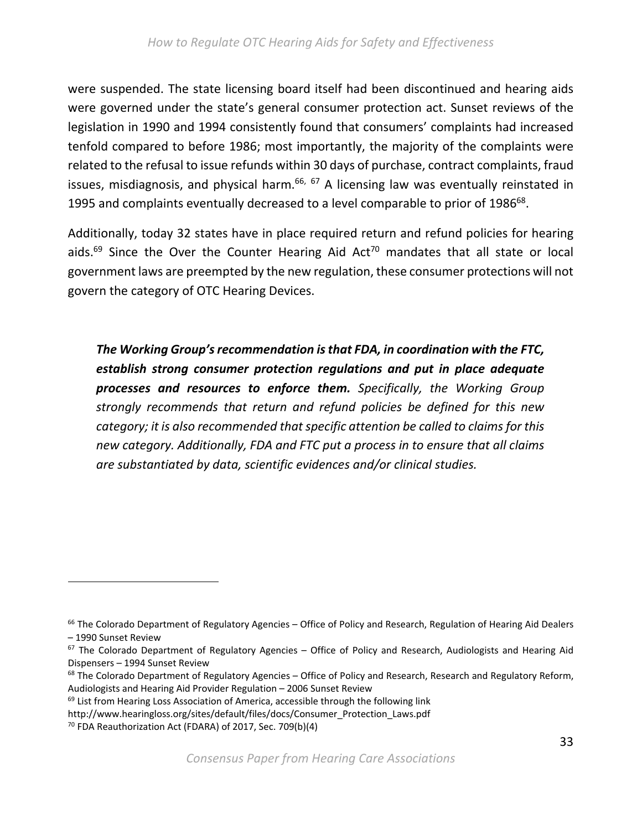were suspended. The state licensing board itself had been discontinued and hearing aids were governed under the state's general consumer protection act. Sunset reviews of the legislation in 1990 and 1994 consistently found that consumers' complaints had increased tenfold compared to before 1986; most importantly, the majority of the complaints were related to the refusal to issue refunds within 30 days of purchase, contract complaints, fraud issues, misdiagnosis, and physical harm.<sup>66, 67</sup> A licensing law was eventually reinstated in 1995 and complaints eventually decreased to a level comparable to prior of  $1986^{68}$ .

Additionally, today 32 states have in place required return and refund policies for hearing aids.<sup>69</sup> Since the Over the Counter Hearing Aid Act<sup>70</sup> mandates that all state or local government laws are preempted by the new regulation, these consumer protections will not govern the category of OTC Hearing Devices.

*The Working Group's recommendation is that FDA, in coordination with the FTC, establish strong consumer protection regulations and put in place adequate processes and resources to enforce them. Specifically, the Working Group strongly recommends that return and refund policies be defined for this new category; it is also recommended that specific attention be called to claims for this new category. Additionally, FDA and FTC put a process in to ensure that all claims are substantiated by data, scientific evidences and/or clinical studies.* 

 $66$  The Colorado Department of Regulatory Agencies – Office of Policy and Research, Regulation of Hearing Aid Dealers – 1990 Sunset Review

 $67$  The Colorado Department of Regulatory Agencies – Office of Policy and Research, Audiologists and Hearing Aid Dispensers – 1994 Sunset Review

 $68$  The Colorado Department of Regulatory Agencies – Office of Policy and Research, Research and Regulatory Reform, Audiologists and Hearing Aid Provider Regulation – 2006 Sunset Review

 $69$  List from Hearing Loss Association of America, accessible through the following link

http://www.hearingloss.org/sites/default/files/docs/Consumer\_Protection\_Laws.pdf

<sup>70</sup> FDA Reauthorization Act (FDARA) of 2017, Sec. 709(b)(4)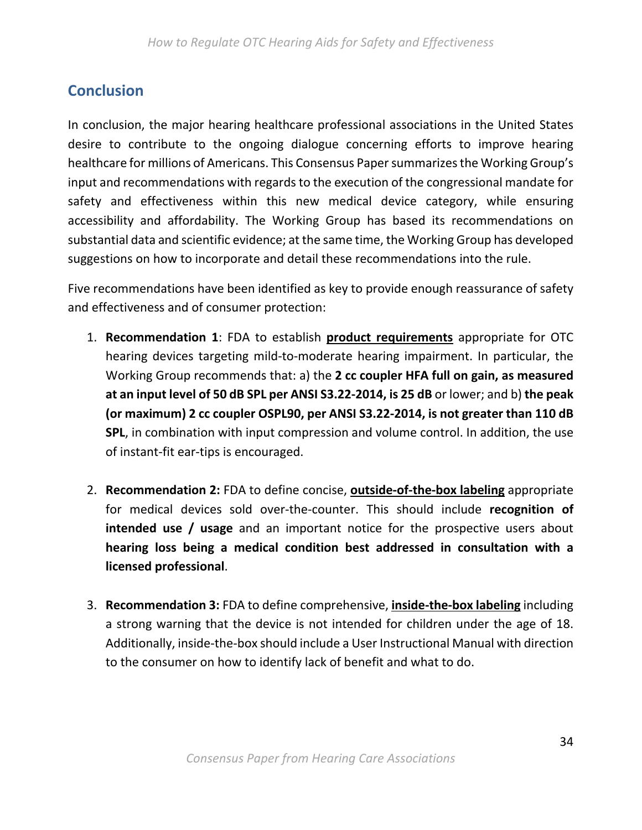## **Conclusion**

In conclusion, the major hearing healthcare professional associations in the United States desire to contribute to the ongoing dialogue concerning efforts to improve hearing healthcare for millions of Americans. This Consensus Paper summarizes the Working Group's input and recommendations with regards to the execution of the congressional mandate for safety and effectiveness within this new medical device category, while ensuring accessibility and affordability. The Working Group has based its recommendations on substantial data and scientific evidence; at the same time, the Working Group has developed suggestions on how to incorporate and detail these recommendations into the rule.

Five recommendations have been identified as key to provide enough reassurance of safety and effectiveness and of consumer protection:

- 1. **Recommendation 1**: FDA to establish **product requirements** appropriate for OTC hearing devices targeting mild-to-moderate hearing impairment. In particular, the Working Group recommends that: a) the **2 cc coupler HFA full on gain, as measured at an input level of 50 dB SPL per ANSI S3.22‐2014, is 25 dB** or lower; and b) **the peak (or maximum) 2 cc coupler OSPL90, per ANSI S3.22‐2014, is not greater than 110 dB SPL**, in combination with input compression and volume control. In addition, the use of instant‐fit ear‐tips is encouraged.
- 2. **Recommendation 2:** FDA to define concise, **outside‐of‐the‐box labeling** appropriate for medical devices sold over-the-counter. This should include recognition of **intended use / usage** and an important notice for the prospective users about **hearing loss being a medical condition best addressed in consultation with a licensed professional**.
- 3. **Recommendation 3:** FDA to define comprehensive, **inside‐the‐box labeling** including a strong warning that the device is not intended for children under the age of 18. Additionally, inside‐the‐box should include a User Instructional Manual with direction to the consumer on how to identify lack of benefit and what to do.